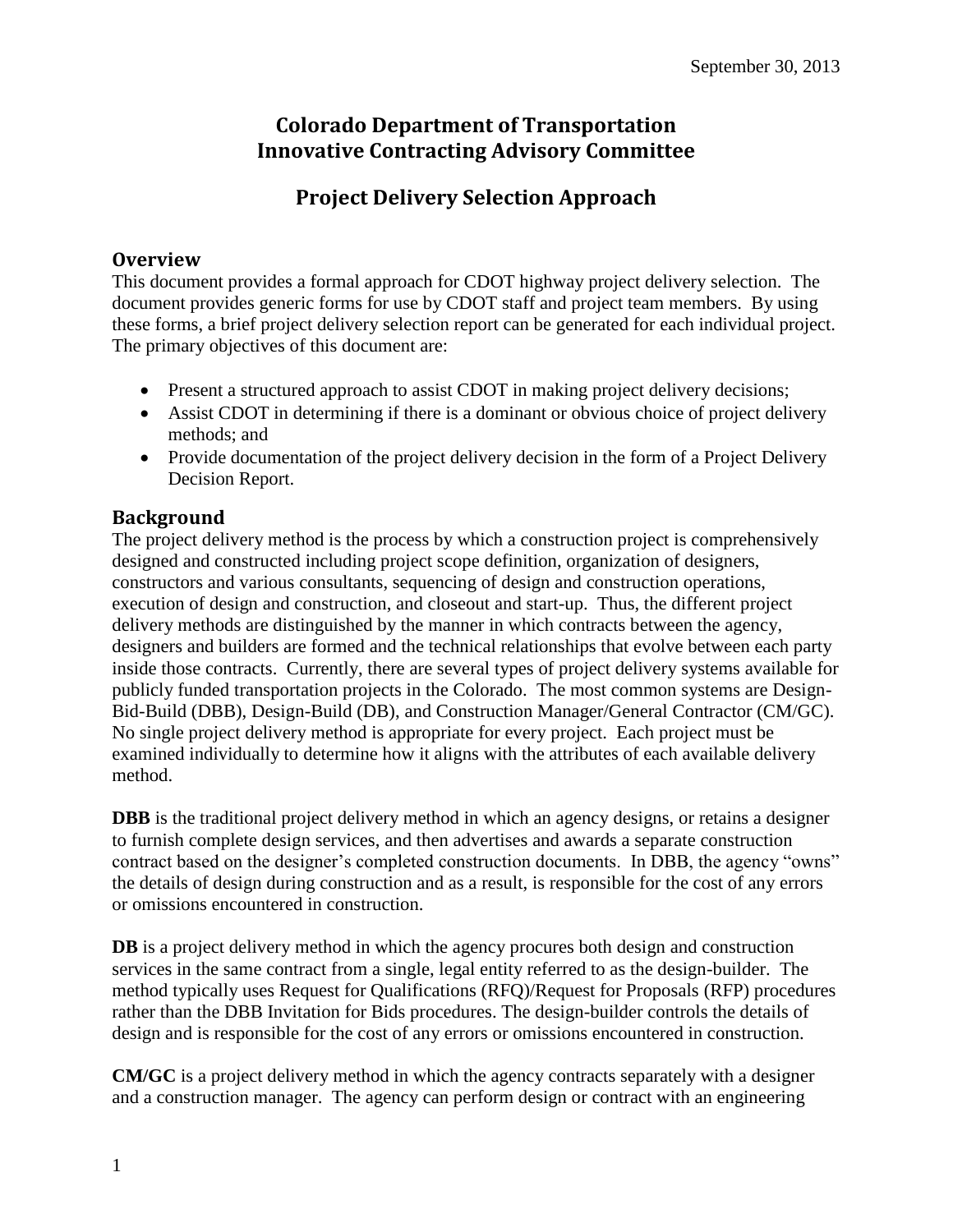## **Colorado Department of Transportation Innovative Contracting Advisory Committee**

# **Project Delivery Selection Approach**

## **Overview**

This document provides a formal approach for CDOT highway project delivery selection. The document provides generic forms for use by CDOT staff and project team members. By using these forms, a brief project delivery selection report can be generated for each individual project. The primary objectives of this document are:

- Present a structured approach to assist CDOT in making project delivery decisions;
- Assist CDOT in determining if there is a dominant or obvious choice of project delivery methods; and
- Provide documentation of the project delivery decision in the form of a Project Delivery Decision Report.

## **Background**

The project delivery method is the process by which a construction project is comprehensively designed and constructed including project scope definition, organization of designers, constructors and various consultants, sequencing of design and construction operations, execution of design and construction, and closeout and start-up. Thus, the different project delivery methods are distinguished by the manner in which contracts between the agency, designers and builders are formed and the technical relationships that evolve between each party inside those contracts. Currently, there are several types of project delivery systems available for publicly funded transportation projects in the Colorado. The most common systems are Design-Bid-Build (DBB), Design-Build (DB), and Construction Manager/General Contractor (CM/GC). No single project delivery method is appropriate for every project. Each project must be examined individually to determine how it aligns with the attributes of each available delivery method.

**DBB** is the traditional project delivery method in which an agency designs, or retains a designer to furnish complete design services, and then advertises and awards a separate construction contract based on the designer's completed construction documents. In DBB, the agency "owns" the details of design during construction and as a result, is responsible for the cost of any errors or omissions encountered in construction.

**DB** is a project delivery method in which the agency procures both design and construction services in the same contract from a single, legal entity referred to as the design-builder. The method typically uses Request for Qualifications (RFQ)/Request for Proposals (RFP) procedures rather than the DBB Invitation for Bids procedures. The design-builder controls the details of design and is responsible for the cost of any errors or omissions encountered in construction.

**CM/GC** is a project delivery method in which the agency contracts separately with a designer and a construction manager. The agency can perform design or contract with an engineering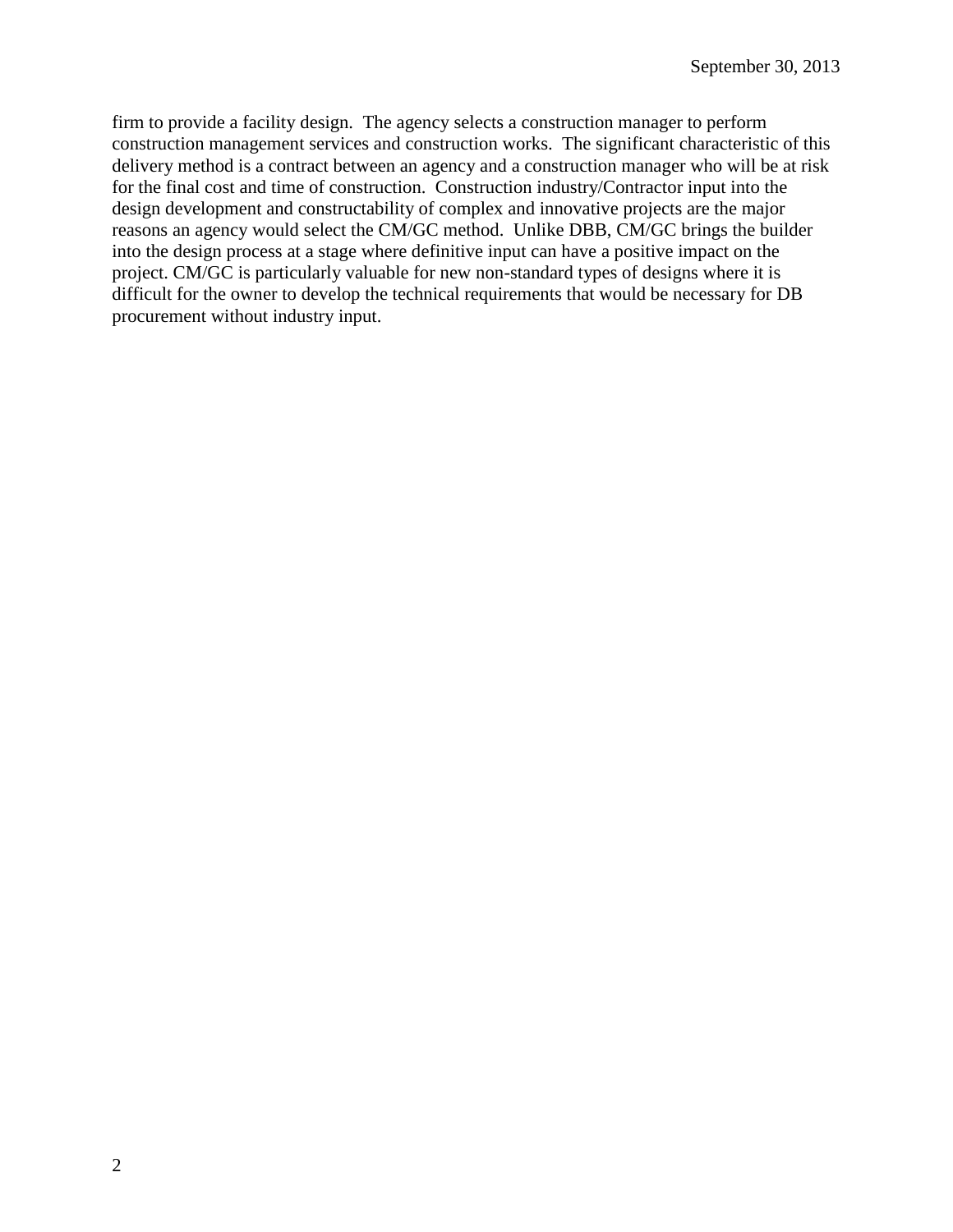firm to provide a facility design. The agency selects a construction manager to perform construction management services and construction works. The significant characteristic of this delivery method is a contract between an agency and a construction manager who will be at risk for the final cost and time of construction. Construction industry/Contractor input into the design development and constructability of complex and innovative projects are the major reasons an agency would select the CM/GC method. Unlike DBB, CM/GC brings the builder into the design process at a stage where definitive input can have a positive impact on the project. CM/GC is particularly valuable for new non-standard types of designs where it is difficult for the owner to develop the technical requirements that would be necessary for DB procurement without industry input.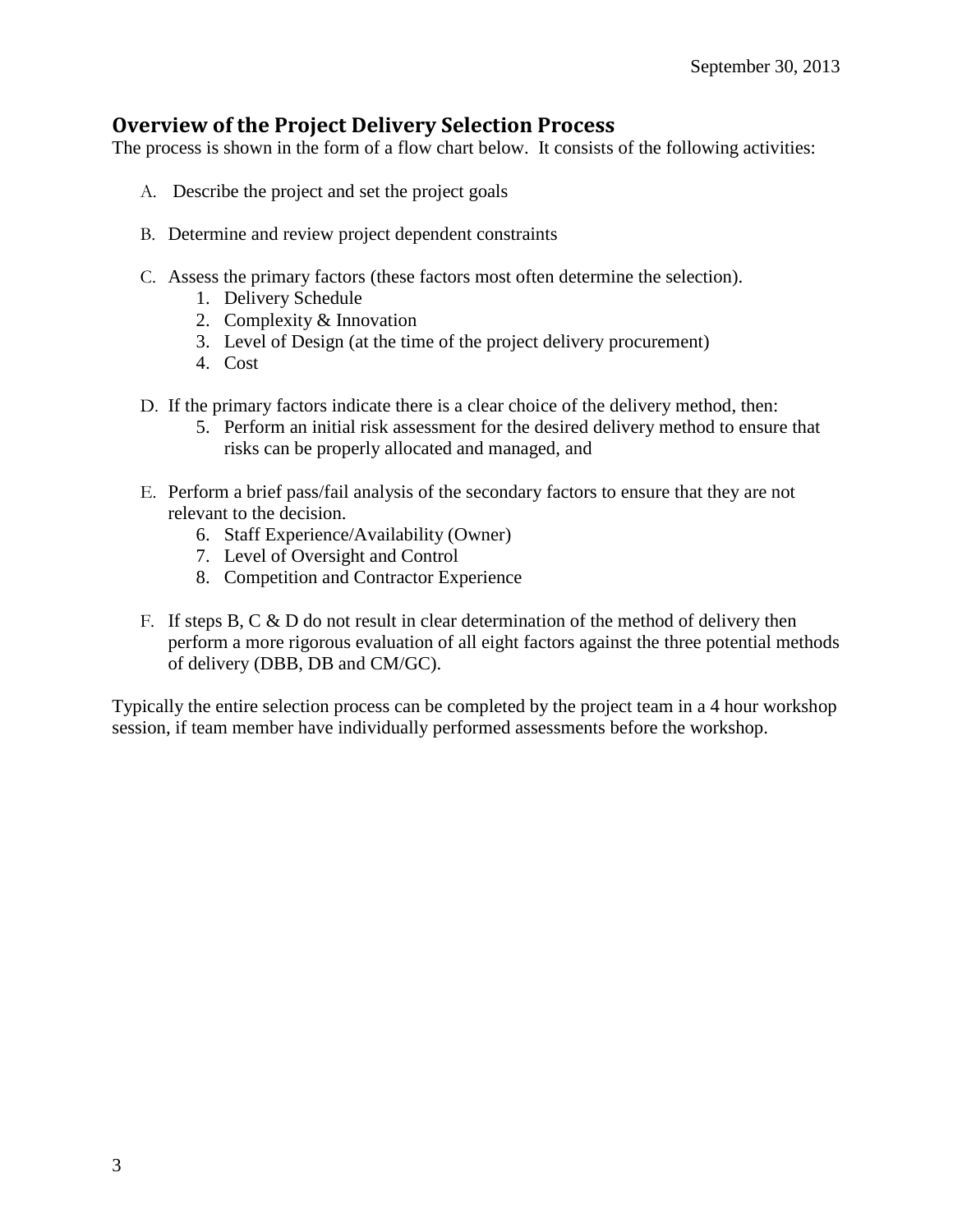## **Overview of the Project Delivery Selection Process**

The process is shown in the form of a flow chart below. It consists of the following activities:

- A. Describe the project and set the project goals
- B. Determine and review project dependent constraints
- C. Assess the primary factors (these factors most often determine the selection).
	- 1. Delivery Schedule
	- 2. Complexity & Innovation
	- 3. Level of Design (at the time of the project delivery procurement)
	- 4. Cost
- D. If the primary factors indicate there is a clear choice of the delivery method, then:
	- 5. Perform an initial risk assessment for the desired delivery method to ensure that risks can be properly allocated and managed, and
- E. Perform a brief pass/fail analysis of the secondary factors to ensure that they are not relevant to the decision.
	- 6. Staff Experience/Availability (Owner)
	- 7. Level of Oversight and Control
	- 8. Competition and Contractor Experience
- F. If steps B, C  $\&$  D do not result in clear determination of the method of delivery then perform a more rigorous evaluation of all eight factors against the three potential methods of delivery (DBB, DB and CM/GC).

Typically the entire selection process can be completed by the project team in a 4 hour workshop session, if team member have individually performed assessments before the workshop.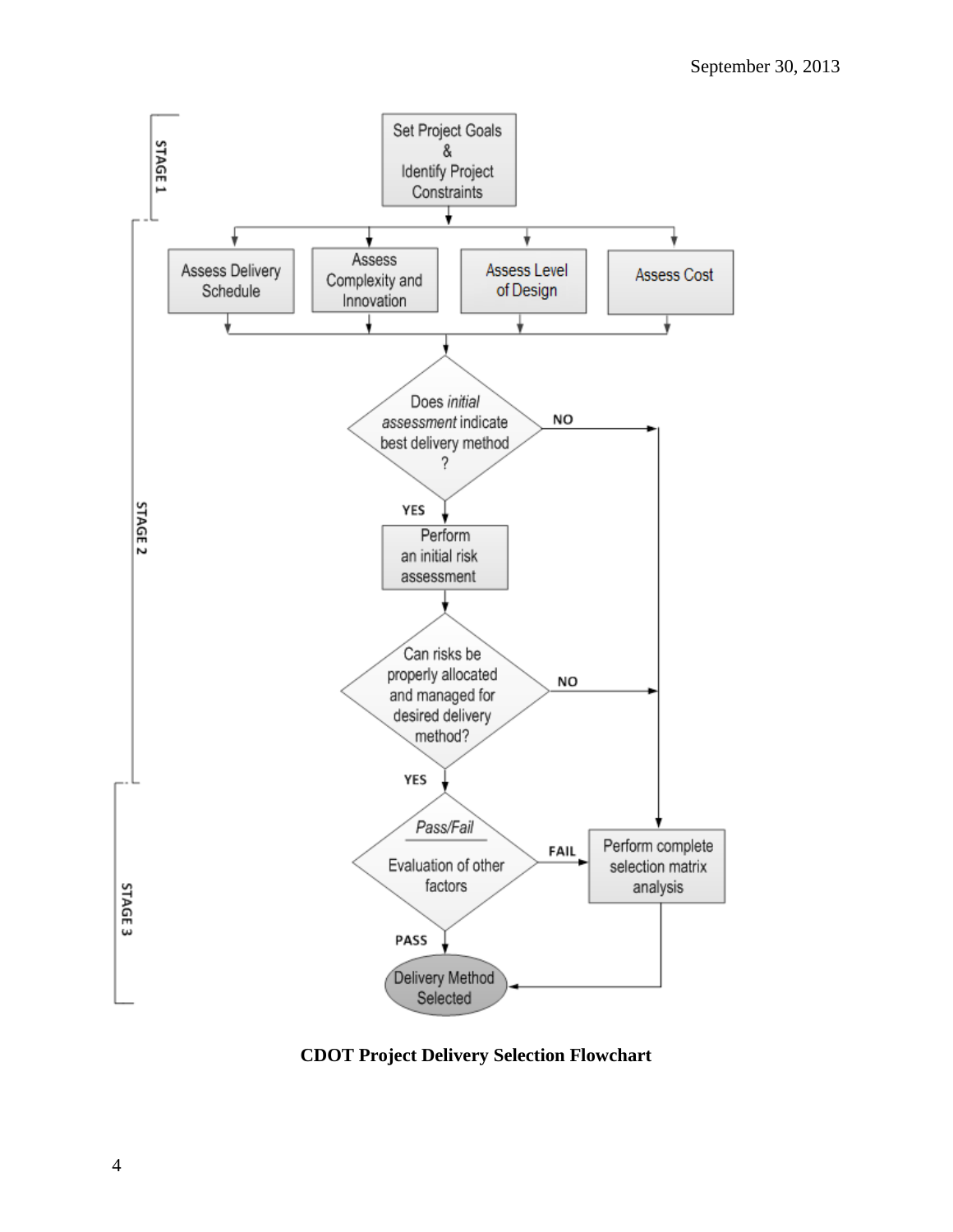

**CDOT Project Delivery Selection Flowchart**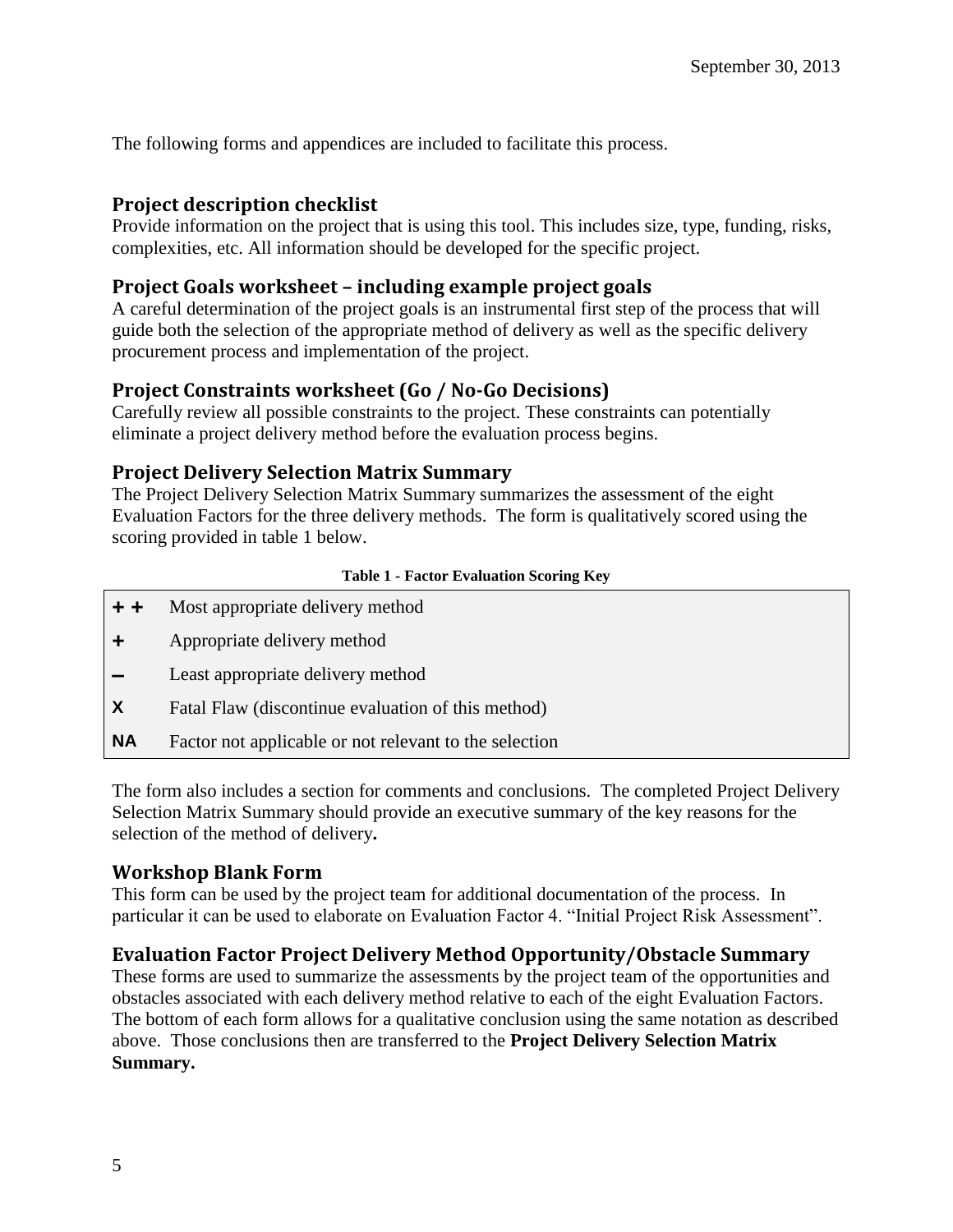The following forms and appendices are included to facilitate this process.

## **Project description checklist**

Provide information on the project that is using this tool. This includes size, type, funding, risks, complexities, etc. All information should be developed for the specific project.

## **Project Goals worksheet – including example project goals**

A careful determination of the project goals is an instrumental first step of the process that will guide both the selection of the appropriate method of delivery as well as the specific delivery procurement process and implementation of the project.

## **Project Constraints worksheet (Go / No-Go Decisions)**

Carefully review all possible constraints to the project. These constraints can potentially eliminate a project delivery method before the evaluation process begins.

## **Project Delivery Selection Matrix Summary**

The Project Delivery Selection Matrix Summary summarizes the assessment of the eight Evaluation Factors for the three delivery methods. The form is qualitatively scored using the scoring provided in table 1 below.

#### **Table 1 - Factor Evaluation Scoring Key**

- **+ +** Most appropriate delivery method
- **+** Appropriate delivery method
- **–** Least appropriate delivery method
- **X** Fatal Flaw (discontinue evaluation of this method)
- **NA** Factor not applicable or not relevant to the selection

The form also includes a section for comments and conclusions.The completed Project Delivery Selection Matrix Summary should provide an executive summary of the key reasons for the selection of the method of delivery**.**

## **Workshop Blank Form**

This form can be used by the project team for additional documentation of the process. In particular it can be used to elaborate on Evaluation Factor 4. "Initial Project Risk Assessment".

## **Evaluation Factor Project Delivery Method Opportunity/Obstacle Summary**

These forms are used to summarize the assessments by the project team of the opportunities and obstacles associated with each delivery method relative to each of the eight Evaluation Factors. The bottom of each form allows for a qualitative conclusion using the same notation as described above. Those conclusions then are transferred to the **Project Delivery Selection Matrix Summary.**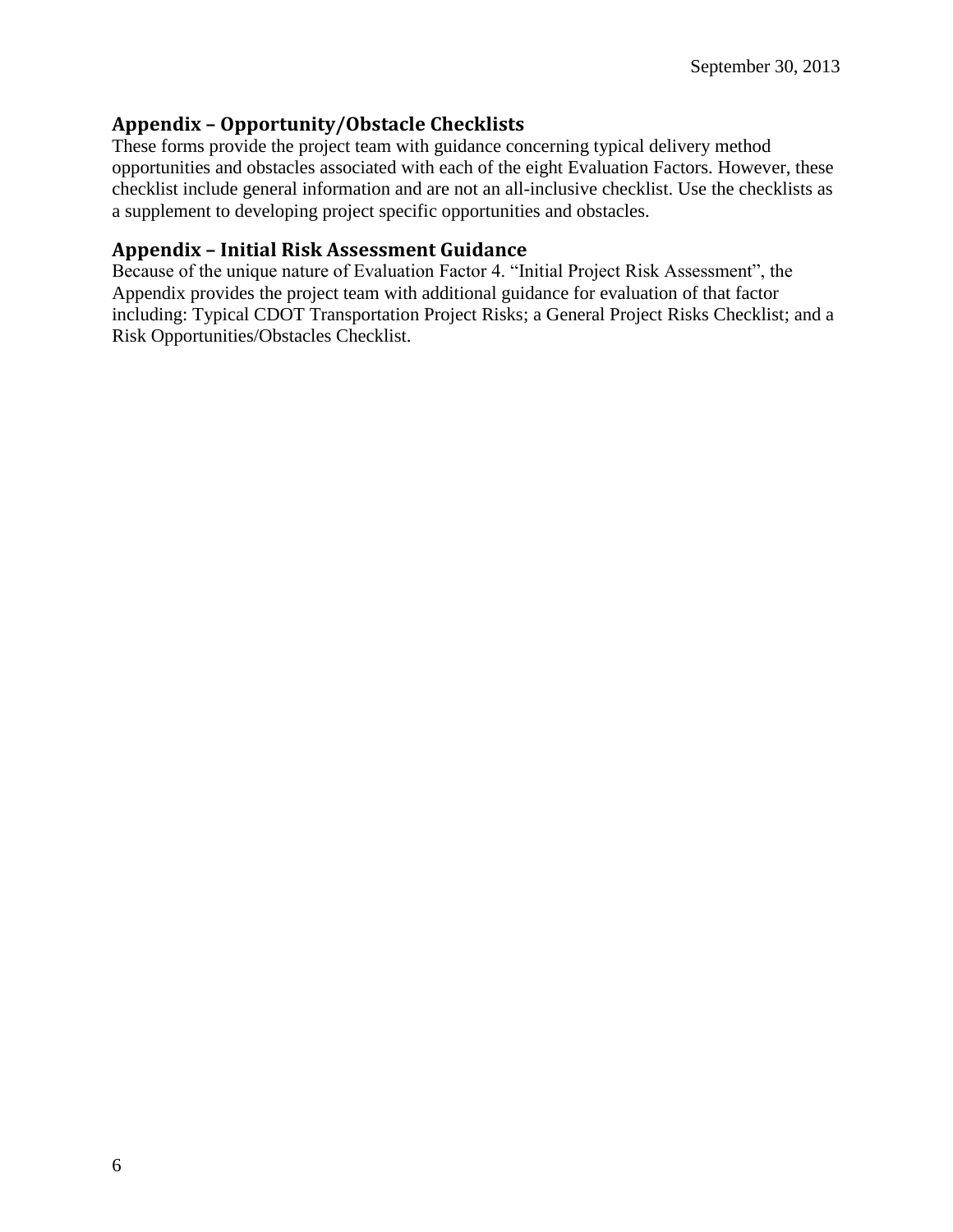## **Appendix – Opportunity/Obstacle Checklists**

These forms provide the project team with guidance concerning typical delivery method opportunities and obstacles associated with each of the eight Evaluation Factors. However, these checklist include general information and are not an all-inclusive checklist. Use the checklists as a supplement to developing project specific opportunities and obstacles.

## **Appendix – Initial Risk Assessment Guidance**

Because of the unique nature of Evaluation Factor 4. "Initial Project Risk Assessment", the Appendix provides the project team with additional guidance for evaluation of that factor including: Typical CDOT Transportation Project Risks; a General Project Risks Checklist; and a Risk Opportunities/Obstacles Checklist.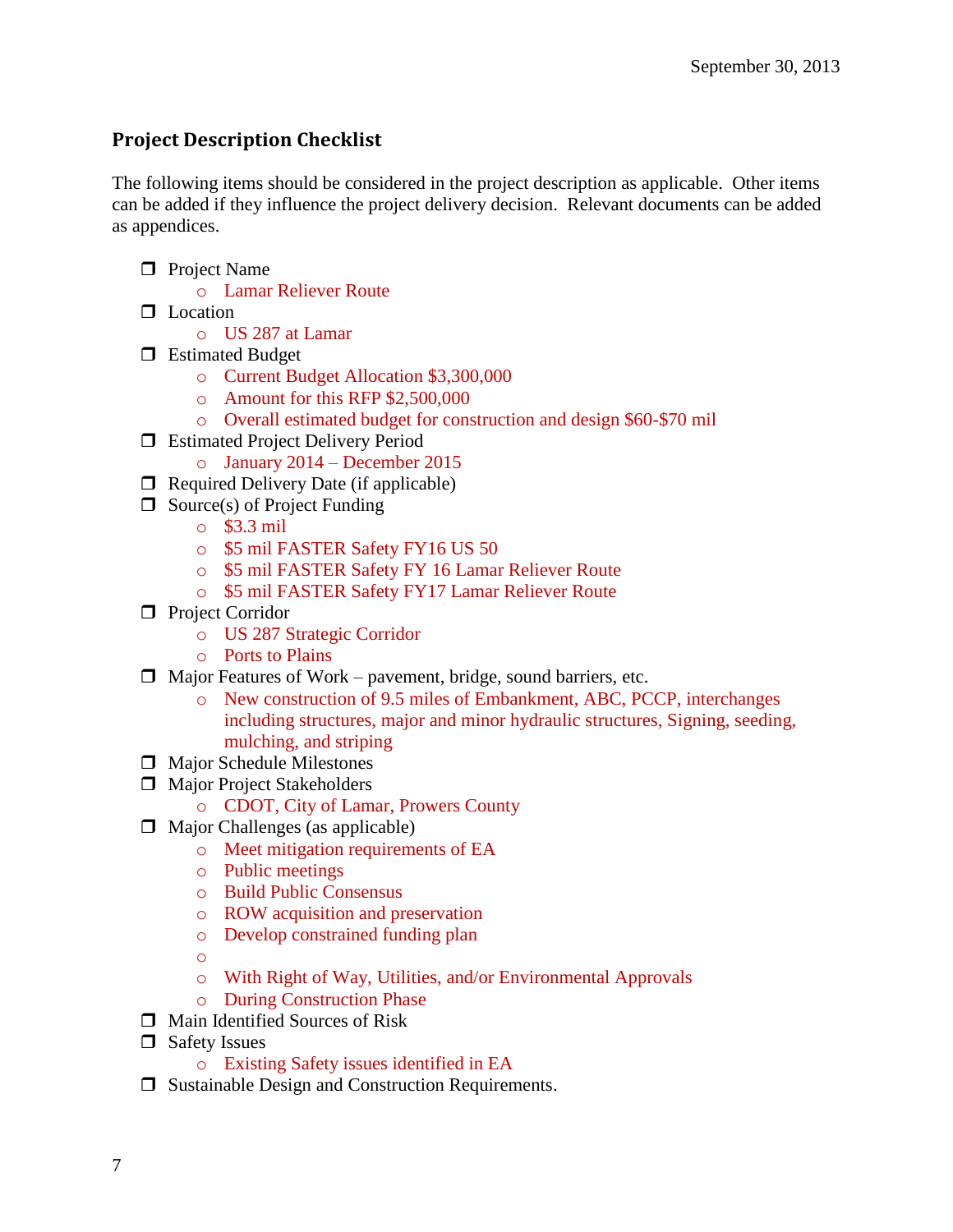## **Project Description Checklist**

The following items should be considered in the project description as applicable. Other items can be added if they influence the project delivery decision. Relevant documents can be added as appendices.

- **Project Name** 
	- o Lamar Reliever Route
- $\Box$  Location
	- o US 287 at Lamar
- **E**stimated Budget
	- o Current Budget Allocation \$3,300,000
	- o Amount for this RFP \$2,500,000
	- o Overall estimated budget for construction and design \$60-\$70 mil
- □ Estimated Project Delivery Period
	- o January 2014 December 2015
- $\Box$  Required Delivery Date (if applicable)
- $\Box$  Source(s) of Project Funding
	- o \$3.3 mil
	- o \$5 mil FASTER Safety FY16 US 50
	- o \$5 mil FASTER Safety FY 16 Lamar Reliever Route
	- o \$5 mil FASTER Safety FY17 Lamar Reliever Route
- **Project Corridor** 
	- o US 287 Strategic Corridor
	- o Ports to Plains
- $\Box$  Major Features of Work pavement, bridge, sound barriers, etc.
	- o New construction of 9.5 miles of Embankment, ABC, PCCP, interchanges including structures, major and minor hydraulic structures, Signing, seeding, mulching, and striping
- $\Box$  Major Schedule Milestones
- $\Box$  Major Project Stakeholders
	- o CDOT, City of Lamar, Prowers County
- $\Box$  Major Challenges (as applicable)
	- o Meet mitigation requirements of EA
	- o Public meetings
	- o Build Public Consensus
	- o ROW acquisition and preservation
	- o Develop constrained funding plan
	- o
	- o With Right of Way, Utilities, and/or Environmental Approvals
	- o During Construction Phase
- $\Box$  Main Identified Sources of Risk
- □ Safety Issues
	- o Existing Safety issues identified in EA
- $\Box$  Sustainable Design and Construction Requirements.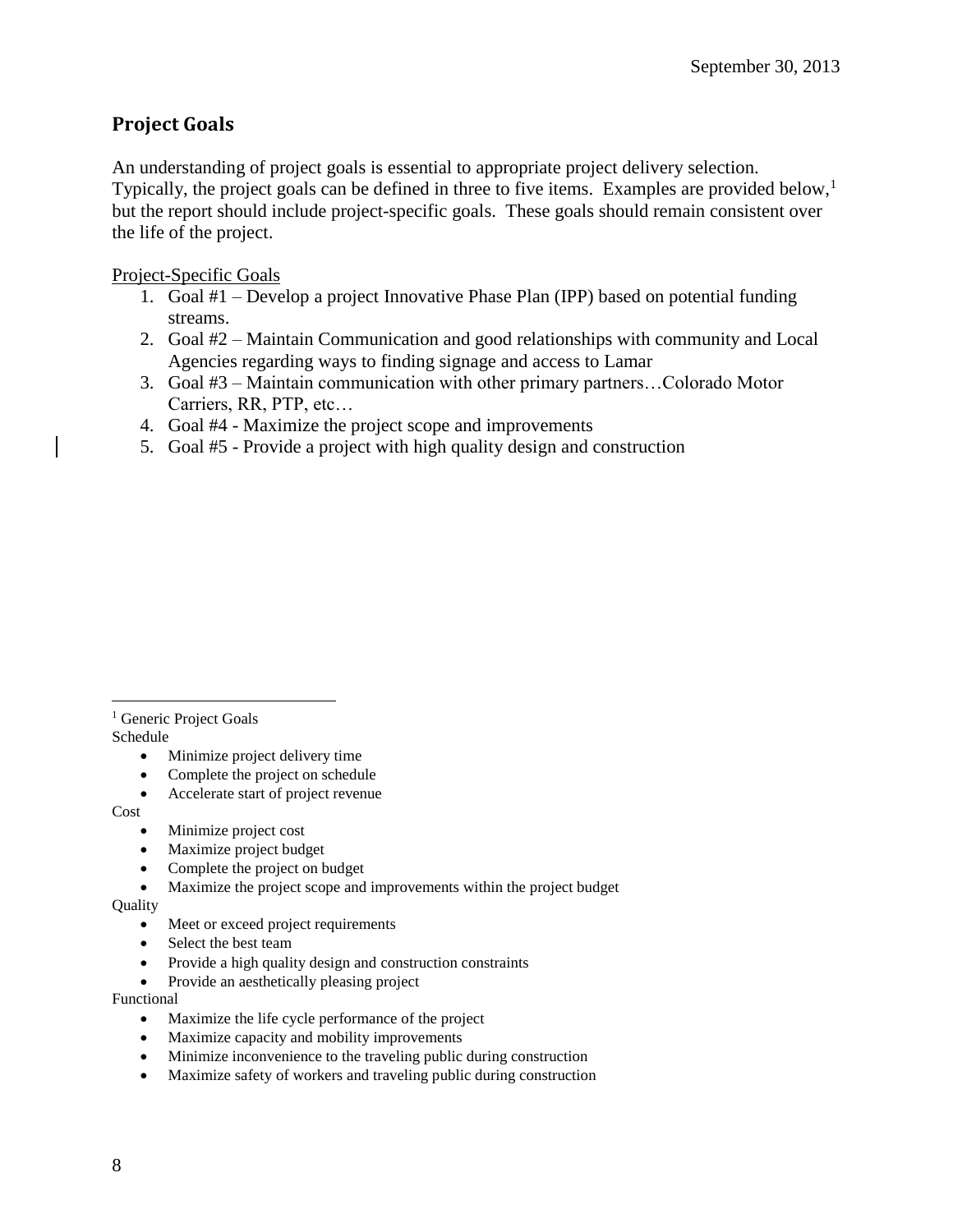## **Project Goals**

An understanding of project goals is essential to appropriate project delivery selection. Typically, the project goals can be defined in three to five items. Examples are provided below,<sup>1</sup> but the report should include project-specific goals. These goals should remain consistent over the life of the project.

Project-Specific Goals

- 1. Goal #1 Develop a project Innovative Phase Plan (IPP) based on potential funding streams.
- 2. Goal #2 Maintain Communication and good relationships with community and Local Agencies regarding ways to finding signage and access to Lamar
- 3. Goal #3 Maintain communication with other primary partners…Colorado Motor Carriers, RR, PTP, etc…
- 4. Goal #4 Maximize the project scope and improvements
- 5. Goal #5 Provide a project with high quality design and construction

 $\overline{a}$ <sup>1</sup> Generic Project Goals Schedule

- Minimize project delivery time
- Complete the project on schedule
- Accelerate start of project revenue

Cost

- Minimize project cost
- Maximize project budget
- Complete the project on budget
- Maximize the project scope and improvements within the project budget

Quality

- Meet or exceed project requirements
- Select the best team
- Provide a high quality design and construction constraints
- Provide an aesthetically pleasing project

Functional

- Maximize the life cycle performance of the project
- Maximize capacity and mobility improvements
- Minimize inconvenience to the traveling public during construction
- Maximize safety of workers and traveling public during construction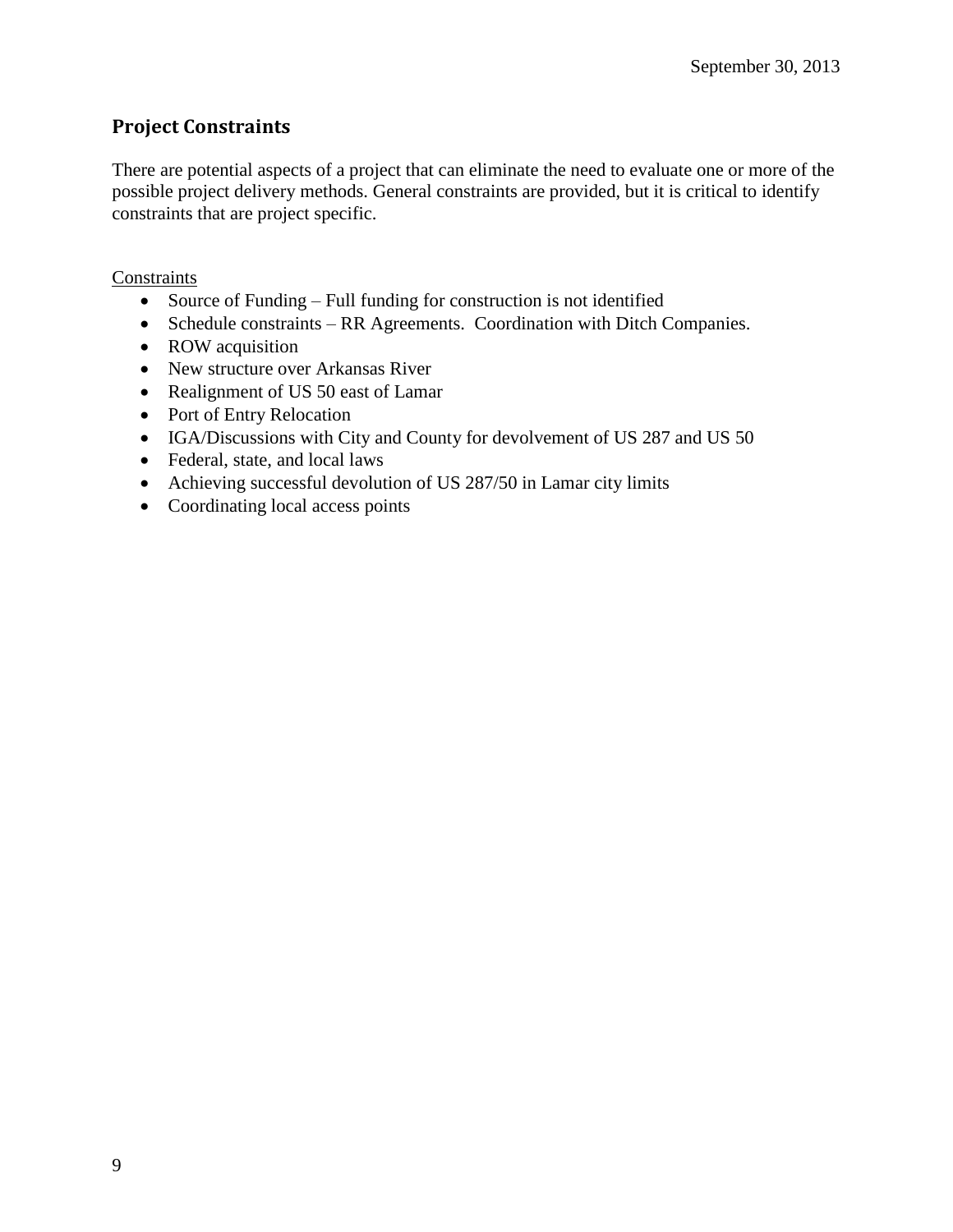## **Project Constraints**

There are potential aspects of a project that can eliminate the need to evaluate one or more of the possible project delivery methods. General constraints are provided, but it is critical to identify constraints that are project specific.

### **Constraints**

- Source of Funding Full funding for construction is not identified
- Schedule constraints RR Agreements. Coordination with Ditch Companies.
- ROW acquisition
- New structure over Arkansas River
- Realignment of US 50 east of Lamar
- Port of Entry Relocation
- IGA/Discussions with City and County for devolvement of US 287 and US 50
- Federal, state, and local laws
- Achieving successful devolution of US 287/50 in Lamar city limits
- Coordinating local access points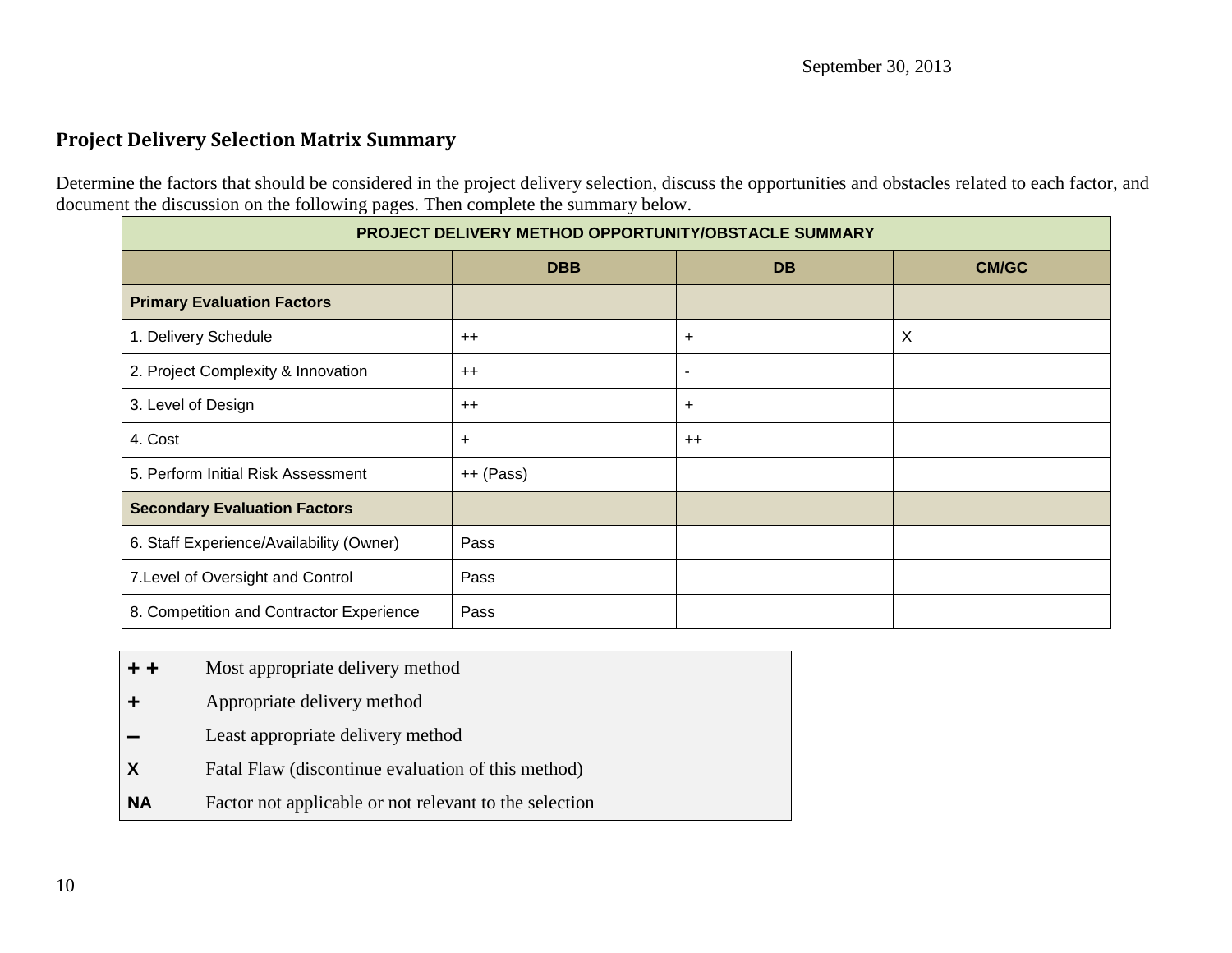## **Project Delivery Selection Matrix Summary**

Determine the factors that should be considered in the project delivery selection, discuss the opportunities and obstacles related to each factor, and document the discussion on the following pages. Then complete the summary below.

| PROJECT DELIVERY METHOD OPPORTUNITY/OBSTACLE SUMMARY |            |                |              |
|------------------------------------------------------|------------|----------------|--------------|
|                                                      | <b>DBB</b> | <b>DB</b>      | <b>CM/GC</b> |
| <b>Primary Evaluation Factors</b>                    |            |                |              |
| 1. Delivery Schedule                                 | $^{++}$    | $\ddot{}$      | X            |
| 2. Project Complexity & Innovation                   | $++$       | $\blacksquare$ |              |
| 3. Level of Design                                   | $++$       | +              |              |
| 4. Cost                                              | $\ddot{}$  | $++$           |              |
| 5. Perform Initial Risk Assessment                   | ++ (Pass)  |                |              |
| <b>Secondary Evaluation Factors</b>                  |            |                |              |
| 6. Staff Experience/Availability (Owner)             | Pass       |                |              |
| 7. Level of Oversight and Control                    | Pass       |                |              |
| 8. Competition and Contractor Experience             | Pass       |                |              |

- **+ +** Most appropriate delivery method
- **+** Appropriate delivery method
- **–** Least appropriate delivery method
- **X** Fatal Flaw (discontinue evaluation of this method)
- **NA** Factor not applicable or not relevant to the selection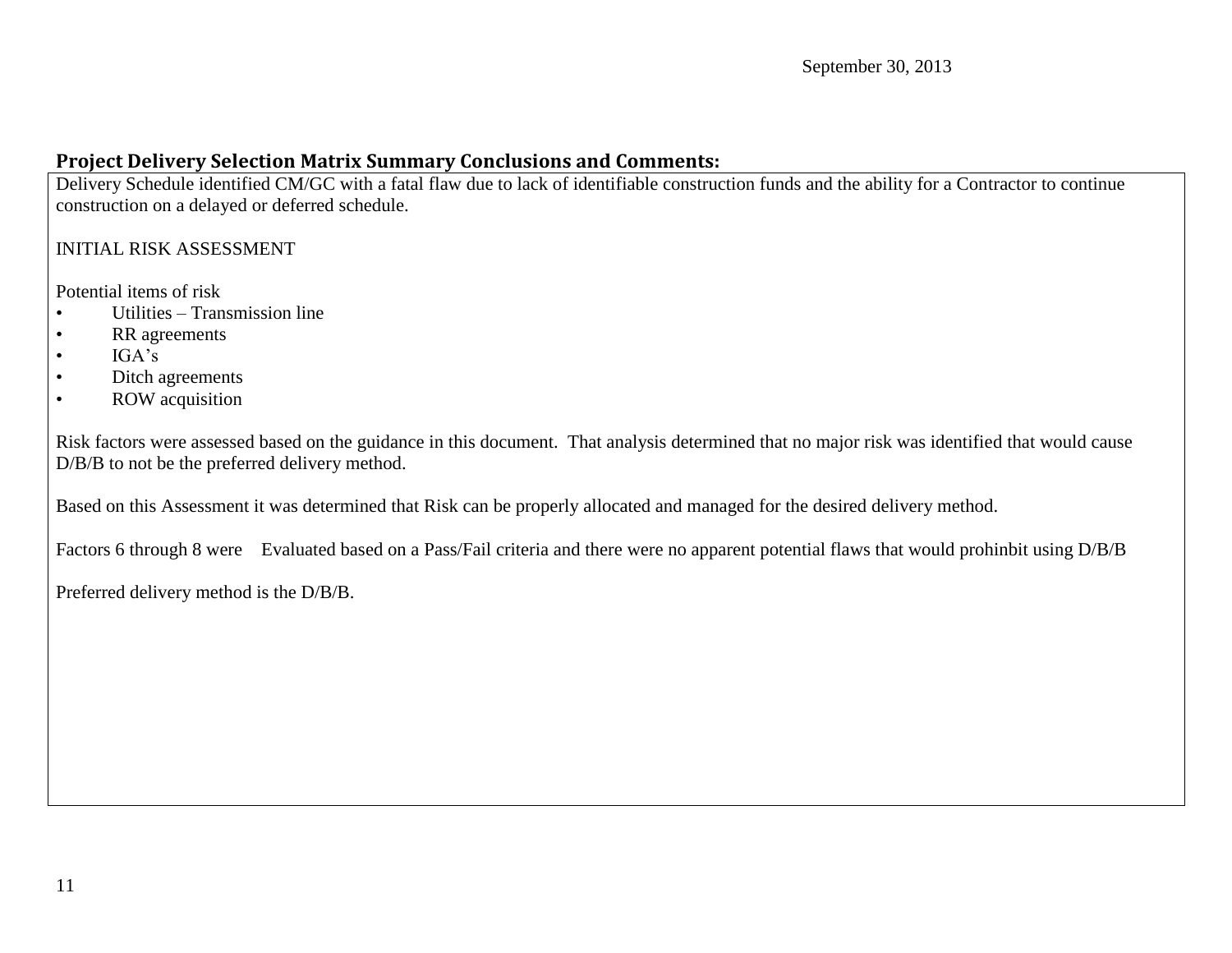## **Project Delivery Selection Matrix Summary Conclusions and Comments:**

Delivery Schedule identified CM/GC with a fatal flaw due to lack of identifiable construction funds and the ability for a Contractor to continue construction on a delayed or deferred schedule.

## INITIAL RISK ASSESSMENT

Potential items of risk

- Utilities Transmission line
- RR agreements
- $\bullet$  IGA's
- Ditch agreements
- ROW acquisition

Risk factors were assessed based on the guidance in this document. That analysis determined that no major risk was identified that would cause D/B/B to not be the preferred delivery method.

Based on this Assessment it was determined that Risk can be properly allocated and managed for the desired delivery method.

Factors 6 through 8 were Evaluated based on a Pass/Fail criteria and there were no apparent potential flaws that would prohinbit using D/B/B

Preferred delivery method is the D/B/B.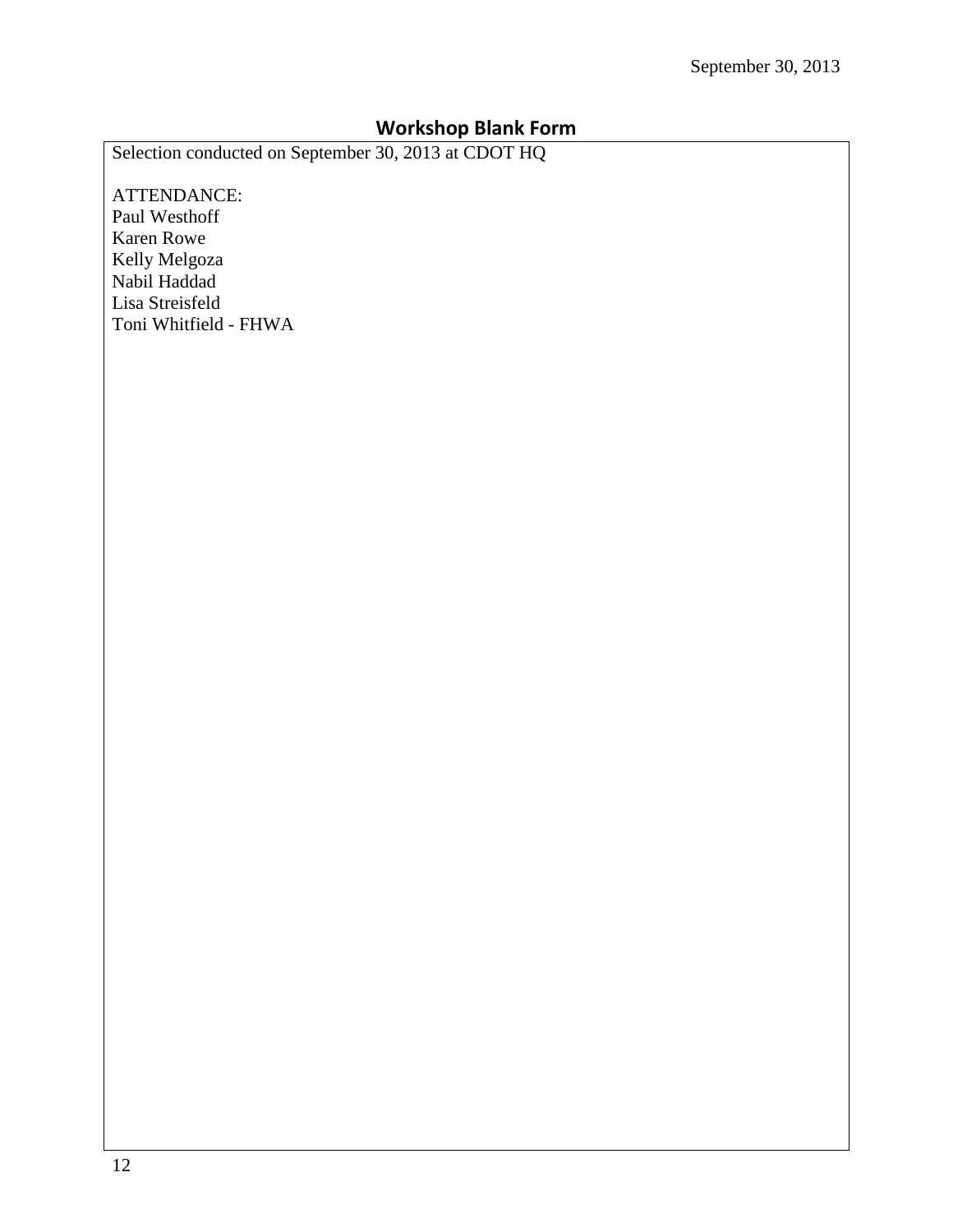## **Workshop Blank Form**

Selection conducted on September 30, 2013 at CDOT HQ

ATTENDANCE: Paul Westhoff Karen Rowe Kelly Melgoza Nabil Haddad Lisa Streisfeld Toni Whitfield - FHWA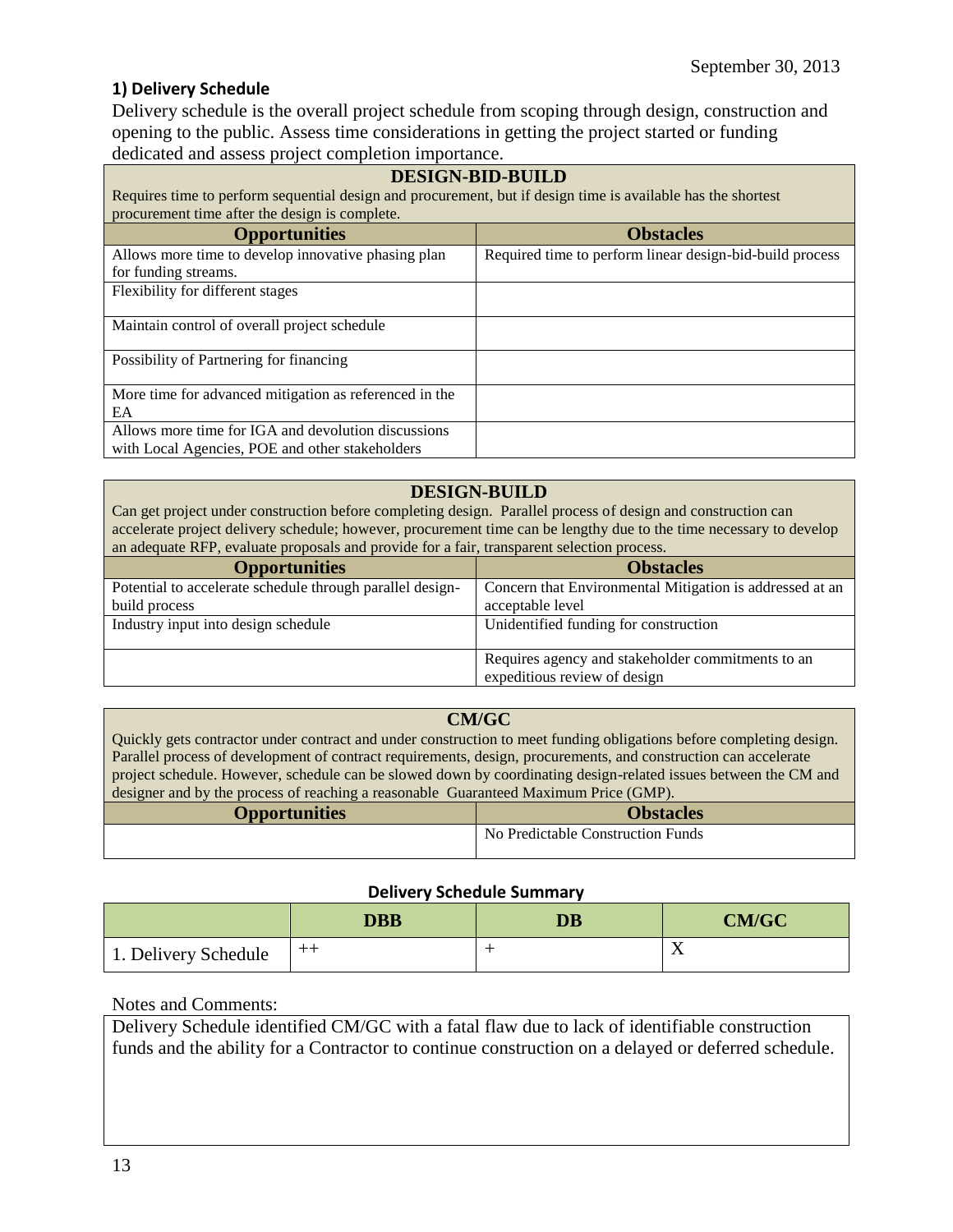## **1) Delivery Schedule**

Delivery schedule is the overall project schedule from scoping through design, construction and opening to the public. Assess time considerations in getting the project started or funding dedicated and assess project completion importance.

| <b>DESIGN-BID-BUILD</b><br>Requires time to perform sequential design and procurement, but if design time is available has the shortest<br>procurement time after the design is complete. |                                                          |  |
|-------------------------------------------------------------------------------------------------------------------------------------------------------------------------------------------|----------------------------------------------------------|--|
| <b>Opportunities</b>                                                                                                                                                                      | <b>Obstacles</b>                                         |  |
| Allows more time to develop innovative phasing plan                                                                                                                                       | Required time to perform linear design-bid-build process |  |
| for funding streams.                                                                                                                                                                      |                                                          |  |
| Flexibility for different stages                                                                                                                                                          |                                                          |  |
| Maintain control of overall project schedule                                                                                                                                              |                                                          |  |
| Possibility of Partnering for financing                                                                                                                                                   |                                                          |  |
| More time for advanced mitigation as referenced in the                                                                                                                                    |                                                          |  |
| EA                                                                                                                                                                                        |                                                          |  |
| Allows more time for IGA and devolution discussions                                                                                                                                       |                                                          |  |
| with Local Agencies, POE and other stakeholders                                                                                                                                           |                                                          |  |

### **DESIGN-BUILD**

Can get project under construction before completing design. Parallel process of design and construction can accelerate project delivery schedule; however, procurement time can be lengthy due to the time necessary to develop an adequate RFP, evaluate proposals and provide for a fair, transparent selection process.

| <b>Opportunities</b>                                      | <b>Obstacles</b>                                         |
|-----------------------------------------------------------|----------------------------------------------------------|
| Potential to accelerate schedule through parallel design- | Concern that Environmental Mitigation is addressed at an |
| build process                                             | acceptable level                                         |
| Industry input into design schedule                       | Unidentified funding for construction                    |
|                                                           | Requires agency and stakeholder commitments to an        |
|                                                           | expeditious review of design                             |

### **CM/GC**

Quickly gets contractor under contract and under construction to meet funding obligations before completing design. Parallel process of development of contract requirements, design, procurements, and construction can accelerate project schedule. However, schedule can be slowed down by coordinating design-related issues between the CM and designer and by the process of reaching a reasonable Guaranteed Maximum Price (GMP).

|                      | All proved of fewelling a ready official conditioned a reading the reading the condition |  |  |
|----------------------|------------------------------------------------------------------------------------------|--|--|
| <b>Opportunities</b> | <b>Obstacles</b>                                                                         |  |  |
|                      | No Predictable Construction Funds                                                        |  |  |

#### **Delivery Schedule Summary**

|                      | <b>DBB</b> | <b>DB</b> | <b>CM/GC</b> |
|----------------------|------------|-----------|--------------|
| 1. Delivery Schedule | $^+$       |           | <b>A</b>     |

#### Notes and Comments:

Delivery Schedule identified CM/GC with a fatal flaw due to lack of identifiable construction funds and the ability for a Contractor to continue construction on a delayed or deferred schedule.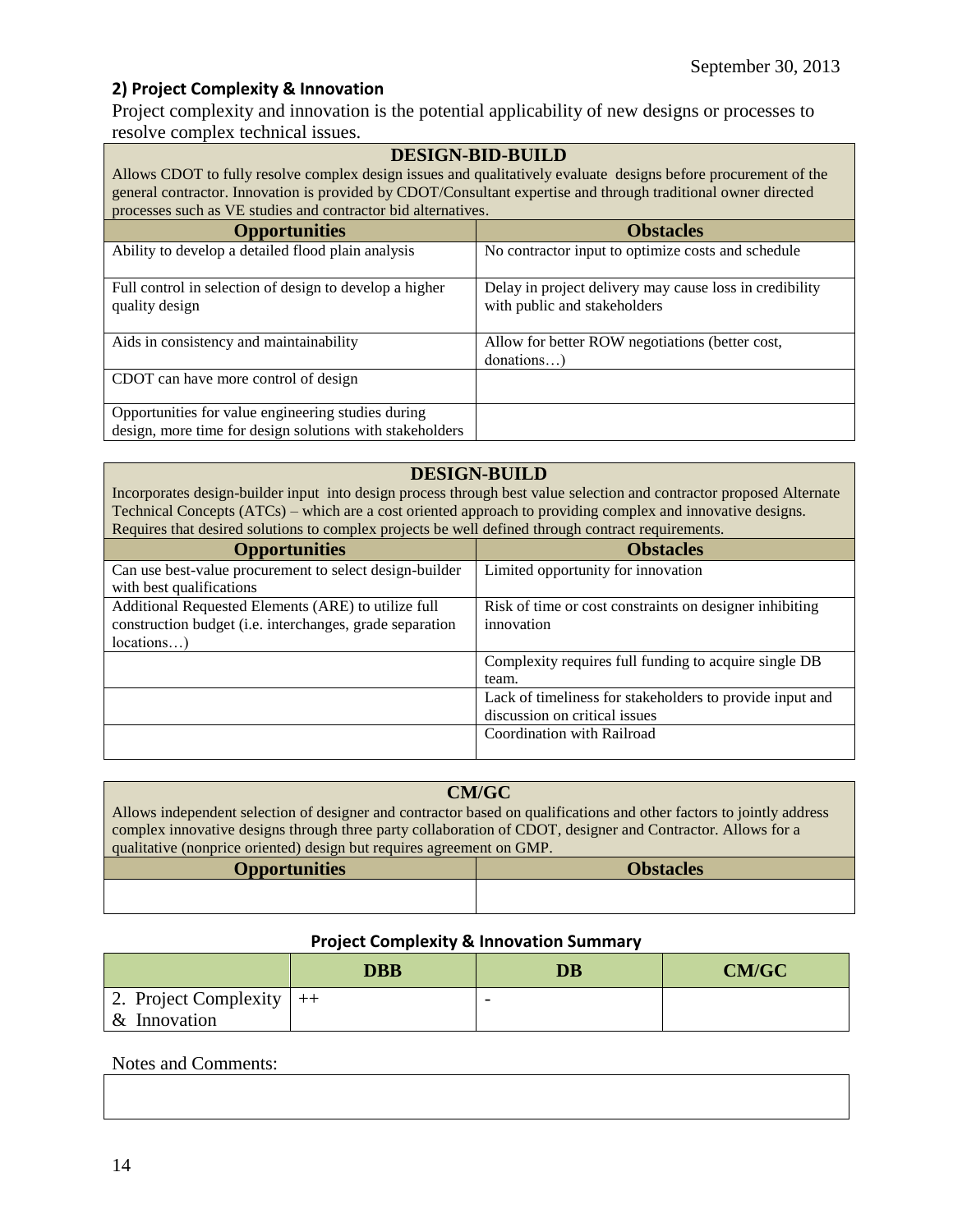## **2) Project Complexity & Innovation**

Project complexity and innovation is the potential applicability of new designs or processes to resolve complex technical issues.

#### **DESIGN-BID-BUILD**

Allows CDOT to fully resolve complex design issues and qualitatively evaluate designs before procurement of the general contractor. Innovation is provided by CDOT/Consultant expertise and through traditional owner directed processes such as VE studies and contractor bid alternatives.

| <b>Opportunities</b>                                                                                           | <b>Obstacles</b>                                                                        |
|----------------------------------------------------------------------------------------------------------------|-----------------------------------------------------------------------------------------|
| Ability to develop a detailed flood plain analysis                                                             | No contractor input to optimize costs and schedule                                      |
| Full control in selection of design to develop a higher<br>quality design                                      | Delay in project delivery may cause loss in credibility<br>with public and stakeholders |
| Aids in consistency and maintainability                                                                        | Allow for better ROW negotiations (better cost,<br>$donations$ )                        |
| CDOT can have more control of design                                                                           |                                                                                         |
| Opportunities for value engineering studies during<br>design, more time for design solutions with stakeholders |                                                                                         |

#### **DESIGN-BUILD**

Incorporates design-builder input into design process through best value selection and contractor proposed Alternate Technical Concepts (ATCs) – which are a cost oriented approach to providing complex and innovative designs. Requires that desired solutions to complex projects be well defined through contract requirements.

| <b>Opportunities</b>                                     | <b>Obstacles</b>                                         |  |
|----------------------------------------------------------|----------------------------------------------------------|--|
| Can use best-value procurement to select design-builder  | Limited opportunity for innovation                       |  |
| with best qualifications                                 |                                                          |  |
| Additional Requested Elements (ARE) to utilize full      | Risk of time or cost constraints on designer inhibiting  |  |
| construction budget (i.e. interchanges, grade separation | innovation                                               |  |
| locations)                                               |                                                          |  |
|                                                          | Complexity requires full funding to acquire single DB    |  |
|                                                          | team.                                                    |  |
|                                                          | Lack of timeliness for stakeholders to provide input and |  |
|                                                          | discussion on critical issues                            |  |
|                                                          | Coordination with Railroad                               |  |
|                                                          |                                                          |  |

### **CM/GC**

Allows independent selection of designer and contractor based on qualifications and other factors to jointly address complex innovative designs through three party collaboration of CDOT, designer and Contractor. Allows for a qualitative (nonprice oriented) design but requires agreement on GMP.

| <b>Opportunities</b> | <b>Obstacles</b> |
|----------------------|------------------|
|                      |                  |
|                      |                  |

#### **Project Complexity & Innovation Summary**

|                                              | <b>DBB</b> | DB                       | <b>CM/GC</b> |
|----------------------------------------------|------------|--------------------------|--------------|
| 2. Project Complexity $ ++ $<br>& Innovation |            | $\overline{\phantom{0}}$ |              |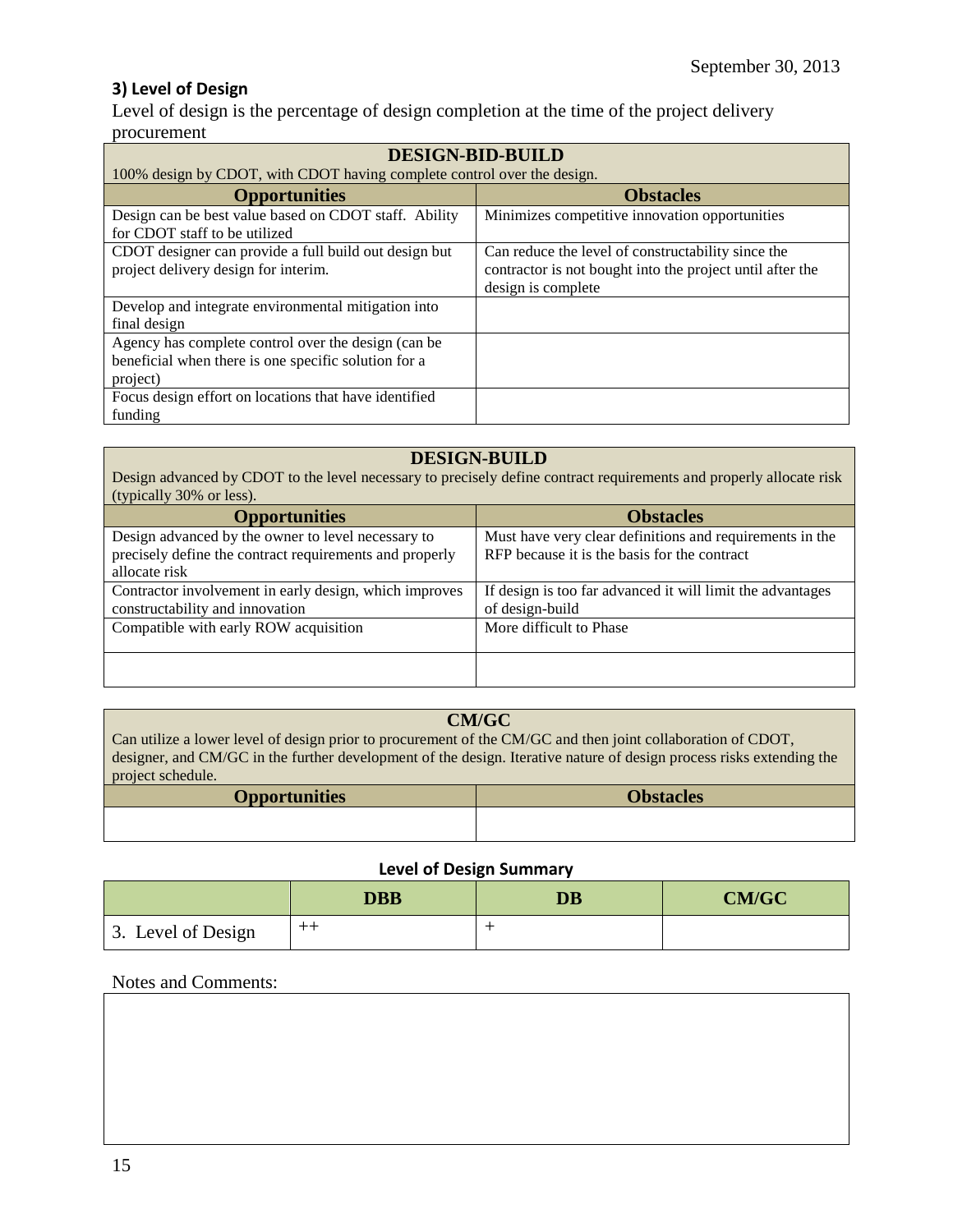## **3) Level of Design**

Level of design is the percentage of design completion at the time of the project delivery procurement

| <b>DESIGN-BID-BUILD</b>                                                                                                 |                                                                                                                                       |  |
|-------------------------------------------------------------------------------------------------------------------------|---------------------------------------------------------------------------------------------------------------------------------------|--|
| 100% design by CDOT, with CDOT having complete control over the design.                                                 |                                                                                                                                       |  |
| <b>Opportunities</b>                                                                                                    | <b>Obstacles</b>                                                                                                                      |  |
| Design can be best value based on CDOT staff. Ability<br>for CDOT staff to be utilized                                  | Minimizes competitive innovation opportunities                                                                                        |  |
| CDOT designer can provide a full build out design but<br>project delivery design for interim.                           | Can reduce the level of constructability since the<br>contractor is not bought into the project until after the<br>design is complete |  |
| Develop and integrate environmental mitigation into<br>final design                                                     |                                                                                                                                       |  |
| Agency has complete control over the design (can be<br>beneficial when there is one specific solution for a<br>project) |                                                                                                                                       |  |
| Focus design effort on locations that have identified<br>funding                                                        |                                                                                                                                       |  |

#### **DESIGN-BUILD**

Design advanced by CDOT to the level necessary to precisely define contract requirements and properly allocate risk (typically 30% or less).

| <b>Opportunities</b>                                    | <b>Obstacles</b>                                           |
|---------------------------------------------------------|------------------------------------------------------------|
| Design advanced by the owner to level necessary to      | Must have very clear definitions and requirements in the   |
| precisely define the contract requirements and properly | RFP because it is the basis for the contract               |
| allocate risk                                           |                                                            |
| Contractor involvement in early design, which improves  | If design is too far advanced it will limit the advantages |
| constructability and innovation                         | of design-build                                            |
| Compatible with early ROW acquisition                   | More difficult to Phase                                    |
|                                                         |                                                            |
|                                                         |                                                            |
|                                                         |                                                            |

#### **CM/GC**

Can utilize a lower level of design prior to procurement of the CM/GC and then joint collaboration of CDOT, designer, and CM/GC in the further development of the design. Iterative nature of design process risks extending the project schedule.

| <b>Opportunities</b> | <b>Obstacles</b> |
|----------------------|------------------|
|                      |                  |
|                      |                  |

#### **Level of Design Summary**

|                    | <b>DBB</b> | $\overline{\text{DB}}$ | <b>CM/GC</b> |
|--------------------|------------|------------------------|--------------|
| 3. Level of Design | $^{++}$    |                        |              |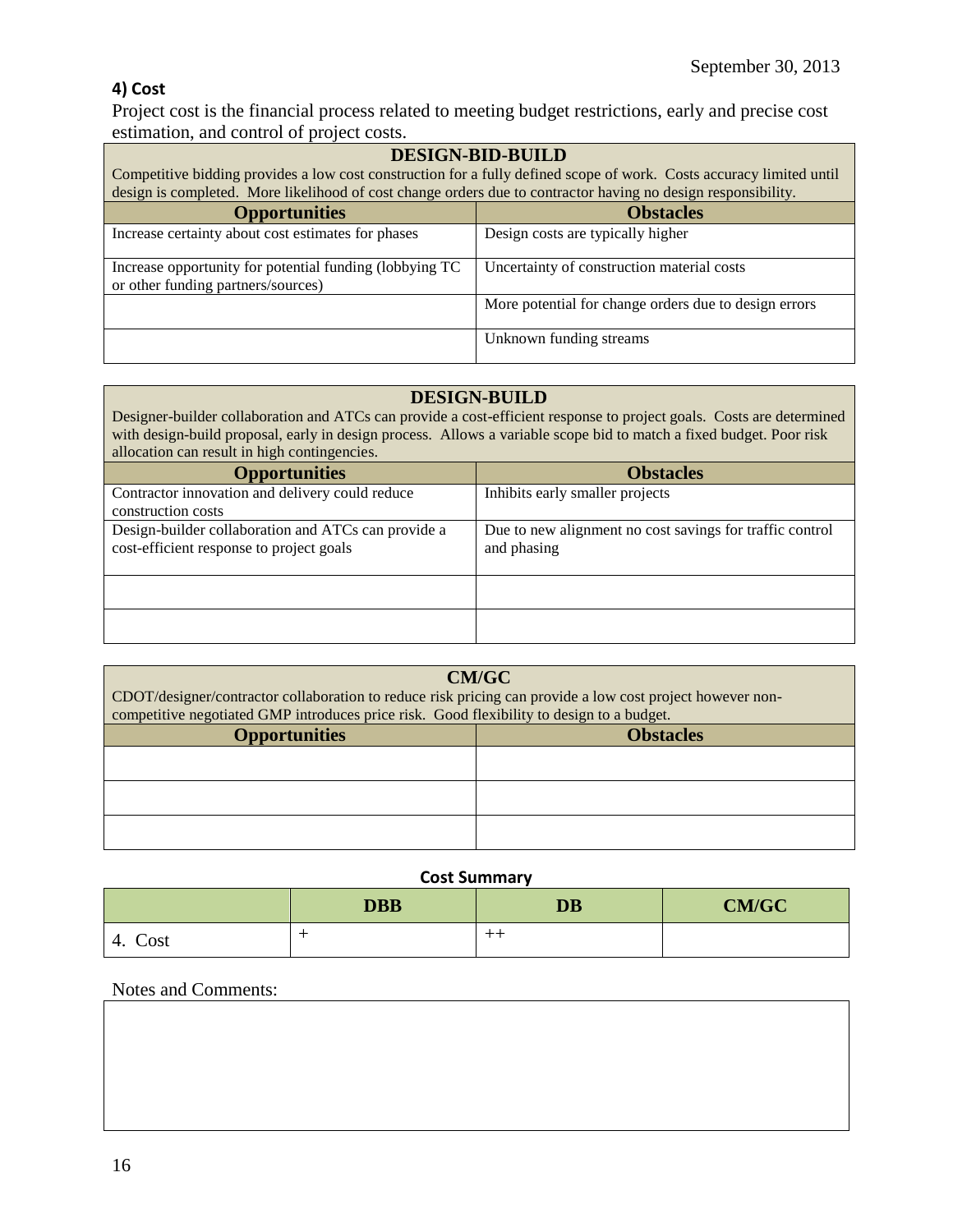## **4) Cost**

Project cost is the financial process related to meeting budget restrictions, early and precise cost estimation, and control of project costs.

| <b>DESIGN-BID-BUILD</b>                                                                                              |                                                       |  |
|----------------------------------------------------------------------------------------------------------------------|-------------------------------------------------------|--|
| Competitive bidding provides a low cost construction for a fully defined scope of work. Costs accuracy limited until |                                                       |  |
| design is completed. More likelihood of cost change orders due to contractor having no design responsibility.        |                                                       |  |
| <b>Obstacles</b><br><b>Opportunities</b>                                                                             |                                                       |  |
| Increase certainty about cost estimates for phases                                                                   | Design costs are typically higher                     |  |
| Increase opportunity for potential funding (lobbying TC<br>or other funding partners/sources)                        | Uncertainty of construction material costs            |  |
|                                                                                                                      | More potential for change orders due to design errors |  |
|                                                                                                                      | Unknown funding streams                               |  |

#### **DESIGN-BUILD**

Designer-builder collaboration and ATCs can provide a cost-efficient response to project goals. Costs are determined with design-build proposal, early in design process. Allows a variable scope bid to match a fixed budget. Poor risk allocation can result in high contingencies.

| <b>Opportunities</b>                                                                            | <b>Obstacles</b>                                                        |
|-------------------------------------------------------------------------------------------------|-------------------------------------------------------------------------|
| Contractor innovation and delivery could reduce                                                 | Inhibits early smaller projects                                         |
| construction costs                                                                              |                                                                         |
| Design-builder collaboration and ATCs can provide a<br>cost-efficient response to project goals | Due to new alignment no cost savings for traffic control<br>and phasing |
|                                                                                                 |                                                                         |
|                                                                                                 |                                                                         |

| <b>CM/GC</b><br>CDOT/designer/contractor collaboration to reduce risk pricing can provide a low cost project however non-<br>competitive negotiated GMP introduces price risk. Good flexibility to design to a budget. |  |  |
|------------------------------------------------------------------------------------------------------------------------------------------------------------------------------------------------------------------------|--|--|
| <b>Opportunities</b><br><b>Obstacles</b>                                                                                                                                                                               |  |  |
|                                                                                                                                                                                                                        |  |  |
|                                                                                                                                                                                                                        |  |  |
|                                                                                                                                                                                                                        |  |  |

#### **Cost Summary**

|                      | <b>DBB</b> | <b>DB</b> | <b>CM/GC</b> |
|----------------------|------------|-----------|--------------|
| $\sim$<br>Cost<br>4. |            | ---       |              |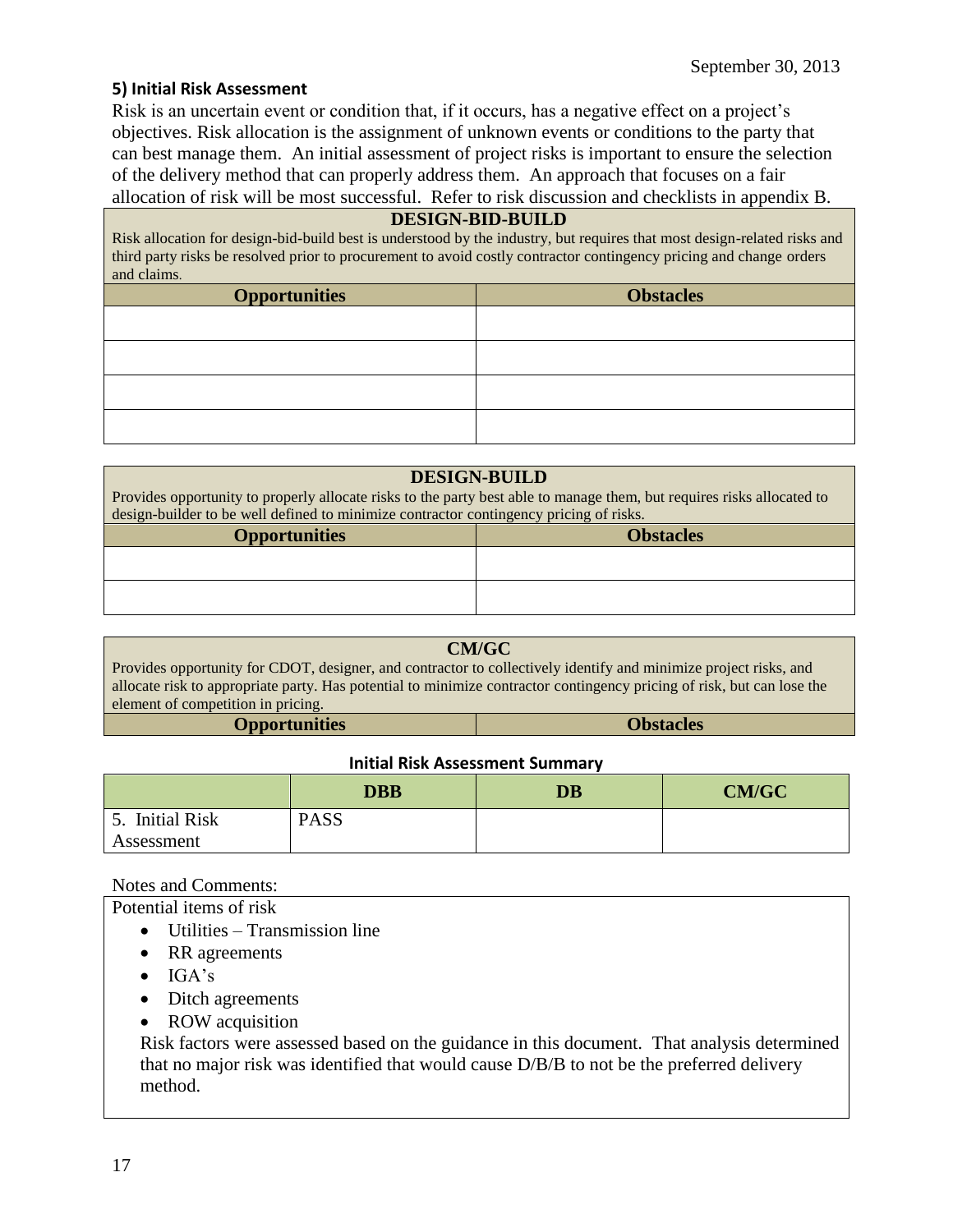#### **5) Initial Risk Assessment**

Risk is an uncertain event or condition that, if it occurs, has a negative effect on a project's objectives. Risk allocation is the assignment of unknown events or conditions to the party that can best manage them. An initial assessment of project risks is important to ensure the selection of the delivery method that can properly address them. An approach that focuses on a fair allocation of risk will be most successful. Refer to risk discussion and checklists in appendix B.

#### **DESIGN-BID-BUILD**

Risk allocation for design-bid-build best is understood by the industry, but requires that most design-related risks and third party risks be resolved prior to procurement to avoid costly contractor contingency pricing and change orders and claims.

| <b>Opportunities</b> | <b>Obstacles</b> |
|----------------------|------------------|
|                      |                  |
|                      |                  |
|                      |                  |
|                      |                  |

#### **DESIGN-BUILD**

Provides opportunity to properly allocate risks to the party best able to manage them, but requires risks allocated to design-builder to be well defined to minimize contractor contingency pricing of risks.

| <b>Opportunities</b> | <b>Obstacles</b> |
|----------------------|------------------|
|                      |                  |
|                      |                  |
|                      |                  |

#### **CM/GC**

Provides opportunity for CDOT, designer, and contractor to collectively identify and minimize project risks, and allocate risk to appropriate party. Has potential to minimize contractor contingency pricing of risk, but can lose the element of competition in pricing.

#### **Initial Risk Assessment Summary**

|                     | <b>DBB</b>  | <b>DB</b> | CM/GC |
|---------------------|-------------|-----------|-------|
| <b>Initial Risk</b> | <b>PASS</b> |           |       |
| Assessment          |             |           |       |

Notes and Comments:

Potential items of risk

- Utilities Transmission line
- RR agreements
- $\bullet$  IGA's
- Ditch agreements
- ROW acquisition

Risk factors were assessed based on the guidance in this document. That analysis determined that no major risk was identified that would cause D/B/B to not be the preferred delivery method.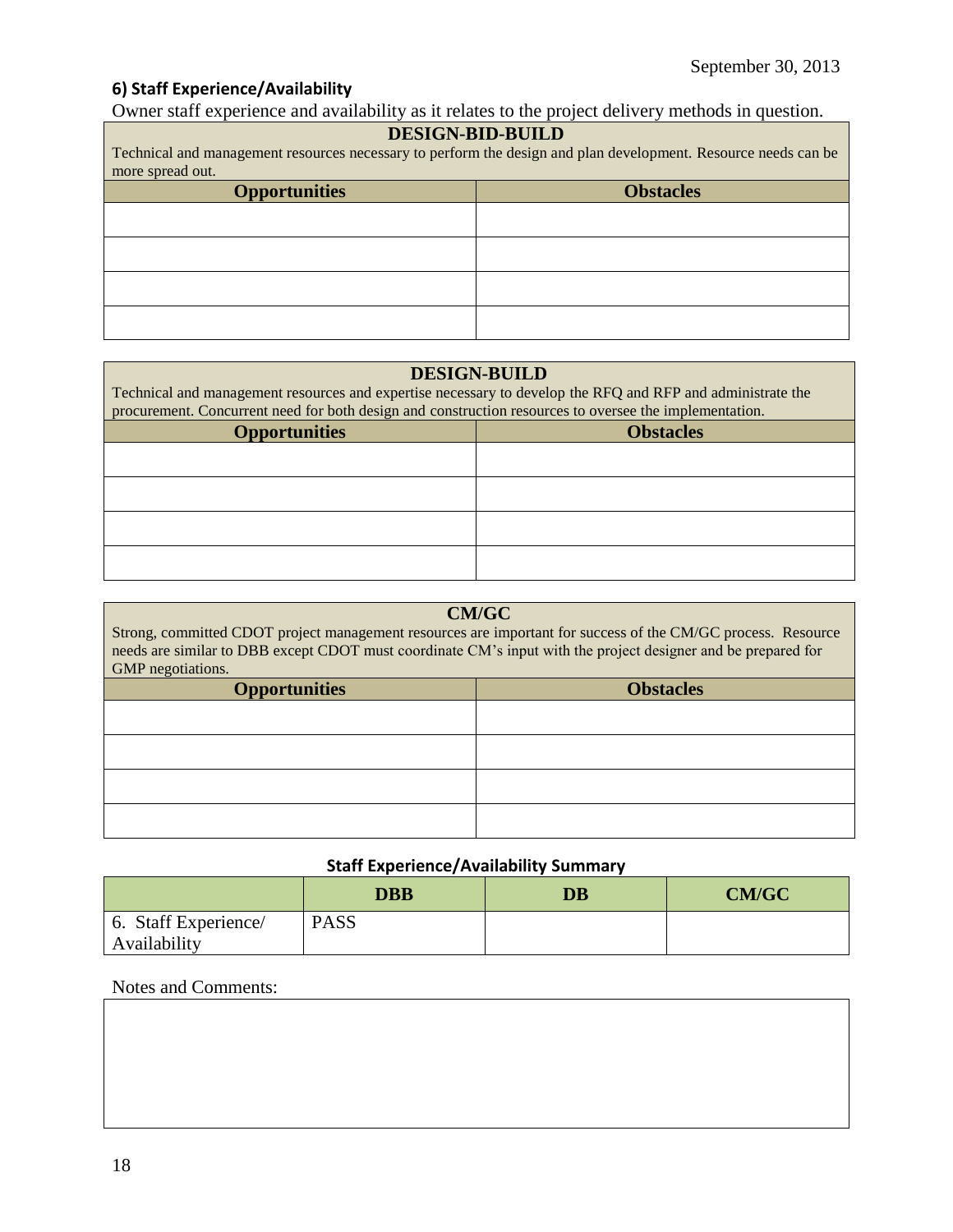## **6) Staff Experience/Availability**

Owner staff experience and availability as it relates to the project delivery methods in question.

#### **DESIGN-BID-BUILD**

Technical and management resources necessary to perform the design and plan development. Resource needs can be more spread out.

| <b>Opportunities</b> | <b>Obstacles</b> |
|----------------------|------------------|
|                      |                  |
|                      |                  |
|                      |                  |
|                      |                  |

## **DESIGN-BUILD**

| Technical and management resources and expertise necessary to develop the RFQ and RFP and administrate the<br>procurement. Concurrent need for both design and construction resources to oversee the implementation. |  |  |
|----------------------------------------------------------------------------------------------------------------------------------------------------------------------------------------------------------------------|--|--|
| <b>Obstacles</b><br><b>Opportunities</b>                                                                                                                                                                             |  |  |
|                                                                                                                                                                                                                      |  |  |
|                                                                                                                                                                                                                      |  |  |
|                                                                                                                                                                                                                      |  |  |
|                                                                                                                                                                                                                      |  |  |

| <b>CM/GC</b><br>Strong, committed CDOT project management resources are important for success of the CM/GC process. Resource<br>needs are similar to DBB except CDOT must coordinate CM's input with the project designer and be prepared for<br>GMP negotiations. |  |  |
|--------------------------------------------------------------------------------------------------------------------------------------------------------------------------------------------------------------------------------------------------------------------|--|--|
| <b>Obstacles</b><br><b>Opportunities</b>                                                                                                                                                                                                                           |  |  |
|                                                                                                                                                                                                                                                                    |  |  |
|                                                                                                                                                                                                                                                                    |  |  |
|                                                                                                                                                                                                                                                                    |  |  |
|                                                                                                                                                                                                                                                                    |  |  |

### **Staff Experience/Availability Summary**

|                                      | <b>DBB</b>  | $\overline{\mathbf{D}}\mathbf{B}$ | <b>CM/GC</b> |
|--------------------------------------|-------------|-----------------------------------|--------------|
| 6. Staff Experience/<br>Availability | <b>PASS</b> |                                   |              |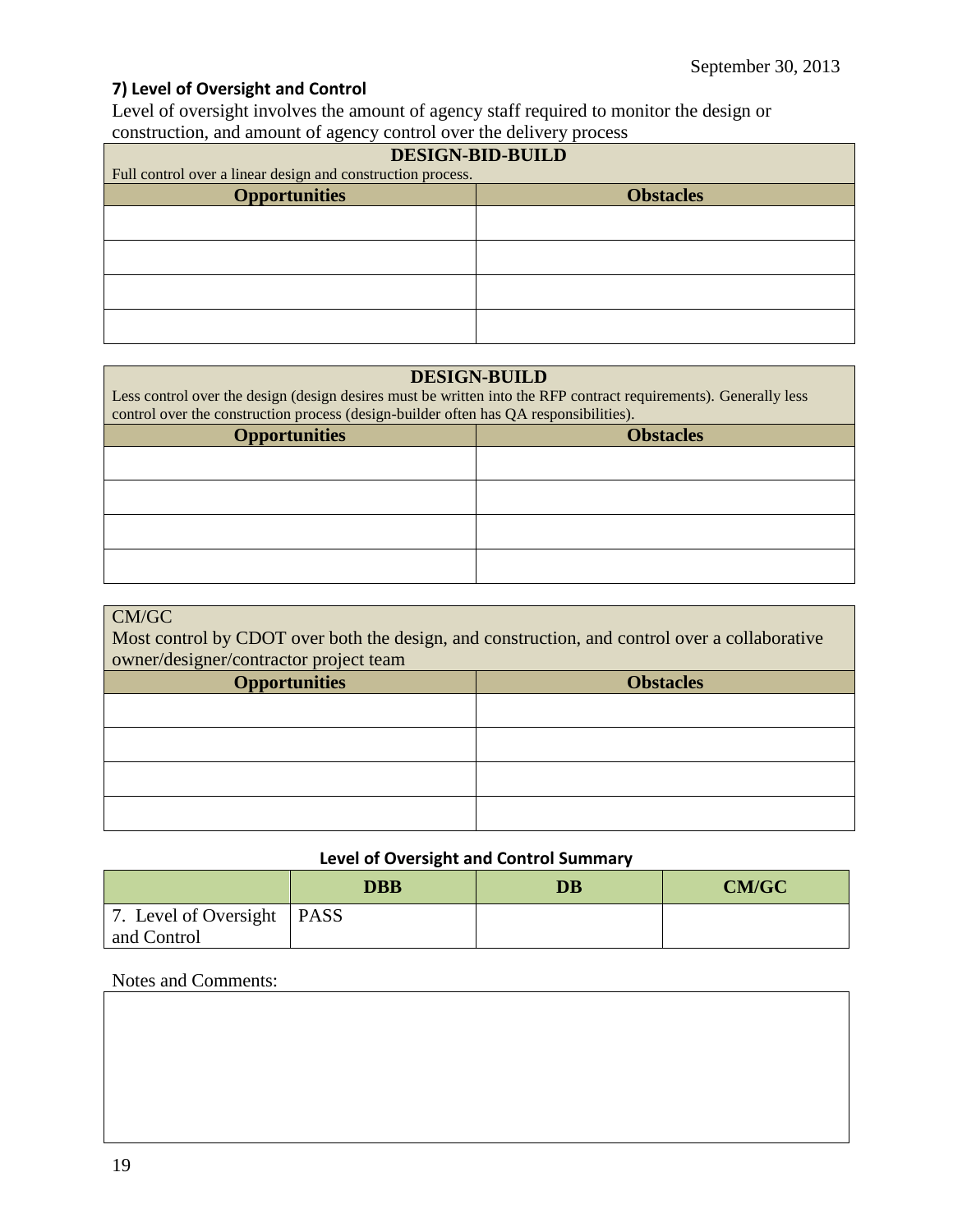## **7) Level of Oversight and Control**

Level of oversight involves the amount of agency staff required to monitor the design or construction, and amount of agency control over the delivery process

| <b>DESIGN-BID-BUILD</b>                                     |  |  |
|-------------------------------------------------------------|--|--|
| Full control over a linear design and construction process. |  |  |
| <b>Opportunities</b><br><b>Obstacles</b>                    |  |  |
|                                                             |  |  |
|                                                             |  |  |
|                                                             |  |  |
|                                                             |  |  |

#### **DESIGN-BUILD**

Less control over the design (design desires must be written into the RFP contract requirements). Generally less control over the construction process (design-builder often has QA responsibilities).

| <b>Opportunities</b> | <b>Obstacles</b> |  |
|----------------------|------------------|--|
|                      |                  |  |
|                      |                  |  |
|                      |                  |  |
|                      |                  |  |

#### CM/GC

Most control by CDOT over both the design, and construction, and control over a collaborative owner/designer/contractor project team

| <b>Opportunities</b> | <b>Obstacles</b> |
|----------------------|------------------|
|                      |                  |
|                      |                  |
|                      |                  |
|                      |                  |

#### **Level of Oversight and Control Summary**

|                              | <b>DBB</b> | $\overline{\mathbf{D}}\mathbf{B}$ | <b>CM/GC</b> |
|------------------------------|------------|-----------------------------------|--------------|
| 7. Level of Oversight   PASS |            |                                   |              |
| and Control                  |            |                                   |              |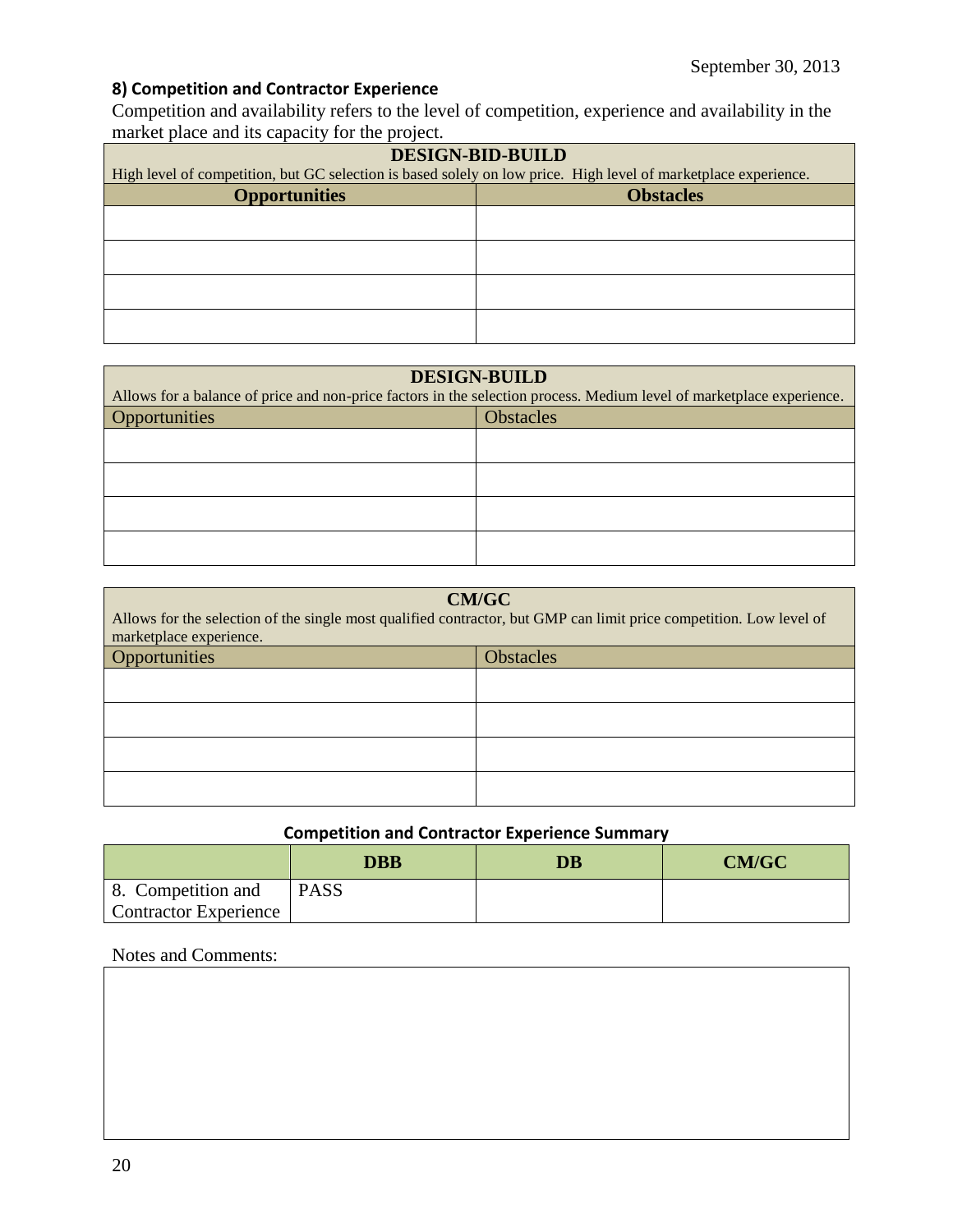## **8) Competition and Contractor Experience**

Competition and availability refers to the level of competition, experience and availability in the market place and its capacity for the project.

| <b>DESIGN-BID-BUILD</b>                                                                                         |                  |  |
|-----------------------------------------------------------------------------------------------------------------|------------------|--|
| High level of competition, but GC selection is based solely on low price. High level of marketplace experience. |                  |  |
| <b>Opportunities</b>                                                                                            | <b>Obstacles</b> |  |
|                                                                                                                 |                  |  |
|                                                                                                                 |                  |  |
|                                                                                                                 |                  |  |
|                                                                                                                 |                  |  |
|                                                                                                                 |                  |  |
|                                                                                                                 |                  |  |
|                                                                                                                 |                  |  |
|                                                                                                                 |                  |  |

| <b>DESIGN-BUILD</b>               |                                                                                                                       |  |
|-----------------------------------|-----------------------------------------------------------------------------------------------------------------------|--|
|                                   | Allows for a balance of price and non-price factors in the selection process. Medium level of marketplace experience. |  |
| Opportunities<br><b>Obstacles</b> |                                                                                                                       |  |
|                                   |                                                                                                                       |  |
|                                   |                                                                                                                       |  |
|                                   |                                                                                                                       |  |
|                                   |                                                                                                                       |  |

| <b>CM/GC</b><br>Allows for the selection of the single most qualified contractor, but GMP can limit price competition. Low level of<br>marketplace experience. |  |  |
|----------------------------------------------------------------------------------------------------------------------------------------------------------------|--|--|
| Opportunities<br><b>Obstacles</b>                                                                                                                              |  |  |
|                                                                                                                                                                |  |  |
|                                                                                                                                                                |  |  |
|                                                                                                                                                                |  |  |
|                                                                                                                                                                |  |  |

## **Competition and Contractor Experience Summary**

|                              | <b>DBB</b>  | <b>DB</b> | <b>CM/GC</b> |
|------------------------------|-------------|-----------|--------------|
| 8. Competition and           | <b>PASS</b> |           |              |
| <b>Contractor Experience</b> |             |           |              |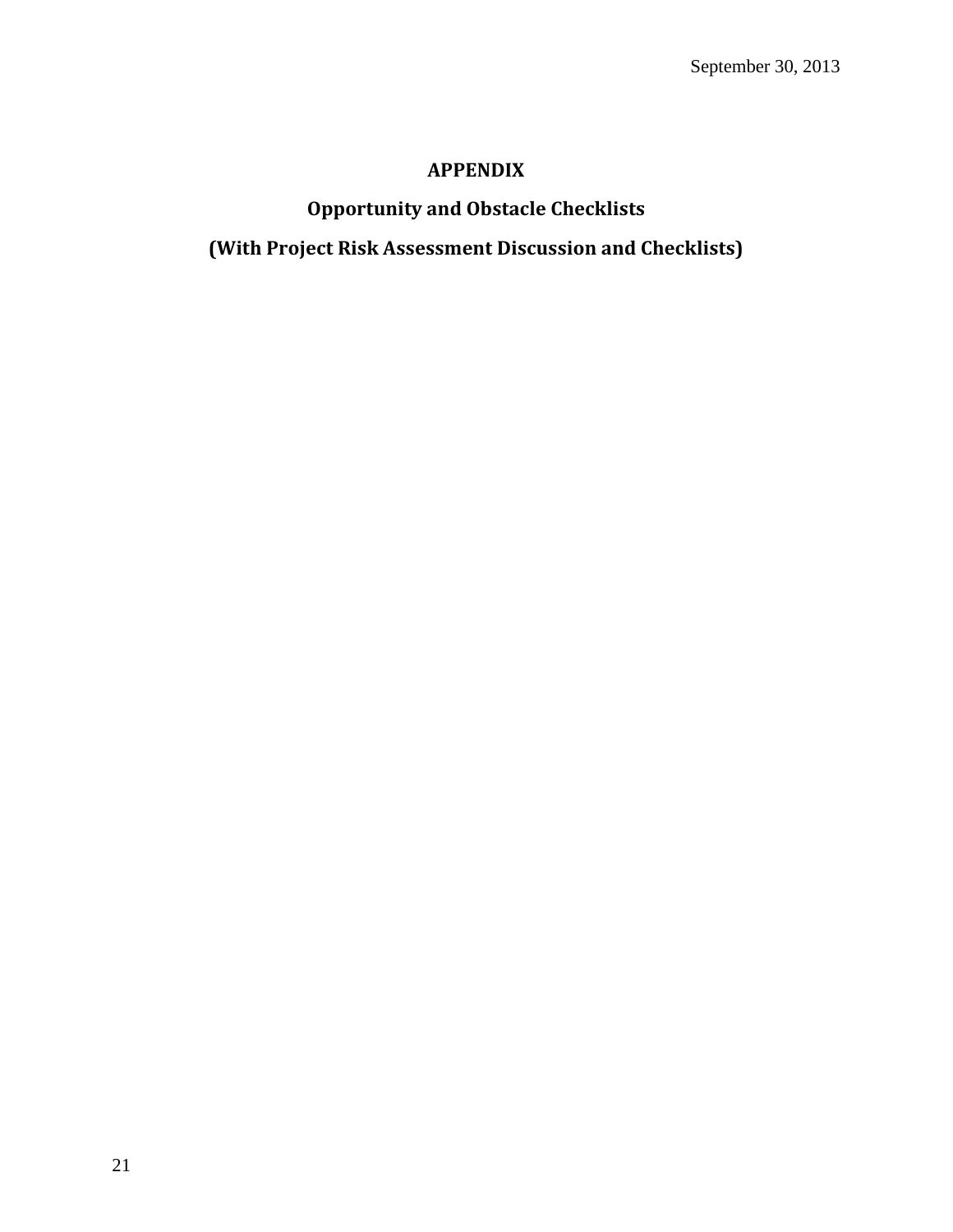## **APPENDIX**

# **Opportunity and Obstacle Checklists**

**(With Project Risk Assessment Discussion and Checklists)**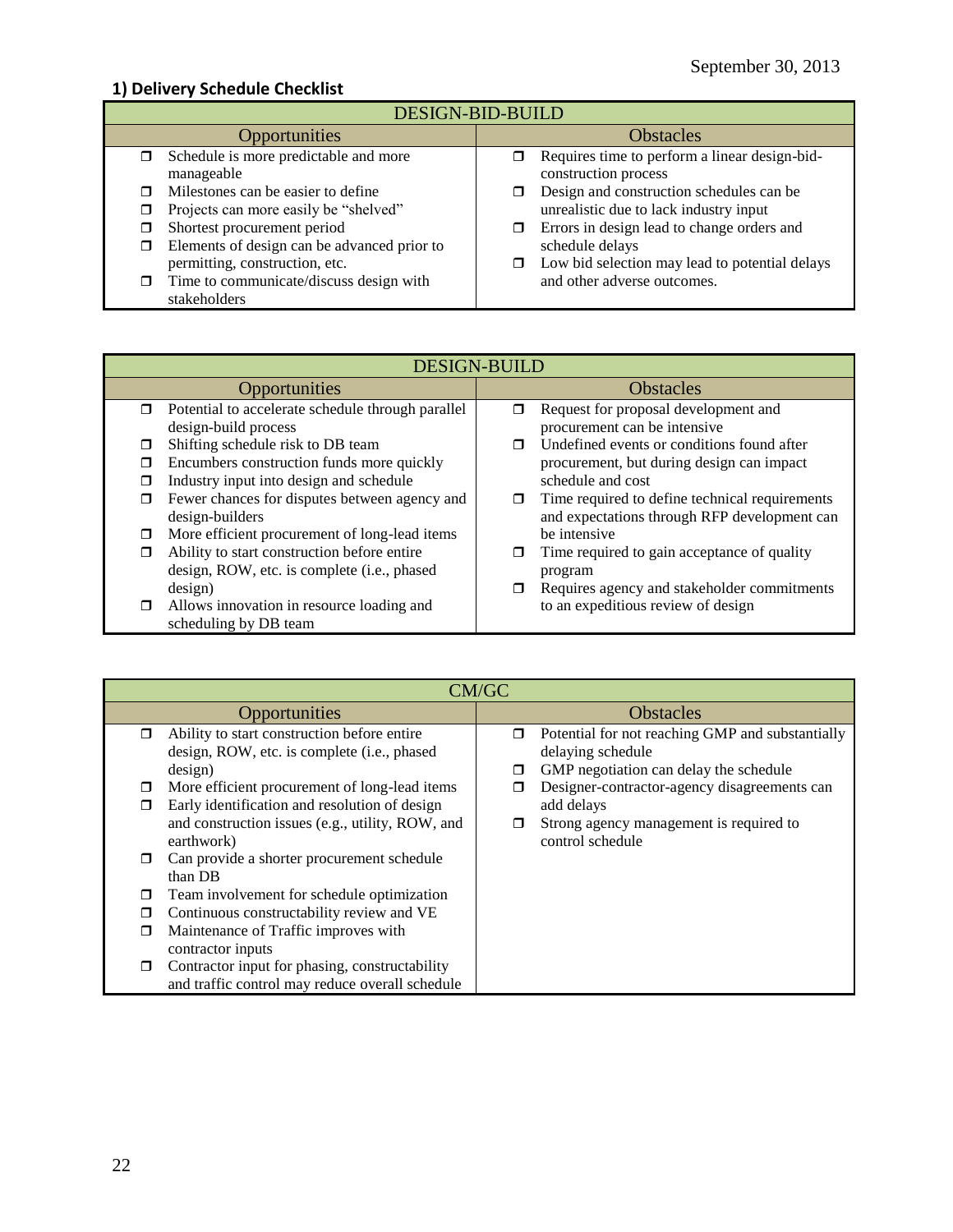## **1) Delivery Schedule Checklist**

| <b>DESIGN-BID-BUILD</b>                                                                   |                                                                                    |  |  |
|-------------------------------------------------------------------------------------------|------------------------------------------------------------------------------------|--|--|
| <b>Opportunities</b>                                                                      | <b>Obstacles</b>                                                                   |  |  |
| Schedule is more predictable and more<br>manageable                                       | Requires time to perform a linear design-bid-<br>construction process              |  |  |
| Milestones can be easier to define<br>Projects can more easily be "shelved"               | Design and construction schedules can be<br>unrealistic due to lack industry input |  |  |
| Shortest procurement period<br>Elements of design can be advanced prior to                | Errors in design lead to change orders and<br>σ<br>schedule delays                 |  |  |
| permitting, construction, etc.<br>Time to communicate/discuss design with<br>stakeholders | Low bid selection may lead to potential delays<br>and other adverse outcomes.      |  |  |

|        | <b>DESIGN-BUILD</b>                               |                  |                                                |
|--------|---------------------------------------------------|------------------|------------------------------------------------|
|        | Opportunities                                     | <b>Obstacles</b> |                                                |
| $\Box$ | Potential to accelerate schedule through parallel | ⊓                | Request for proposal development and           |
|        | design-build process                              |                  | procurement can be intensive                   |
| ⊓      | Shifting schedule risk to DB team                 | ⊓                | Undefined events or conditions found after     |
| □      | Encumbers construction funds more quickly         |                  | procurement, but during design can impact      |
| П      | Industry input into design and schedule           |                  | schedule and cost                              |
| □      | Fewer chances for disputes between agency and     | σ                | Time required to define technical requirements |
|        | design-builders                                   |                  | and expectations through RFP development can   |
| □      | More efficient procurement of long-lead items     |                  | be intensive                                   |
| ⊓      | Ability to start construction before entire       |                  | Time required to gain acceptance of quality    |
|        | design, ROW, etc. is complete (i.e., phased       |                  | program                                        |
|        | design)                                           | π                | Requires agency and stakeholder commitments    |
| $\Box$ | Allows innovation in resource loading and         |                  | to an expeditious review of design             |
|        | scheduling by DB team                             |                  |                                                |

|               | CM/GC                                                                                                                                                                       |                  |                                                                                                                                                                     |
|---------------|-----------------------------------------------------------------------------------------------------------------------------------------------------------------------------|------------------|---------------------------------------------------------------------------------------------------------------------------------------------------------------------|
| Opportunities |                                                                                                                                                                             | <b>Obstacles</b> |                                                                                                                                                                     |
| $\Box$        | Ability to start construction before entire<br>design, ROW, etc. is complete (i.e., phased                                                                                  | $\Box$           | Potential for not reaching GMP and substantially<br>delaying schedule                                                                                               |
|               | design)<br>More efficient procurement of long-lead items<br>Early identification and resolution of design<br>and construction issues (e.g., utility, ROW, and<br>earthwork) | □<br>□<br>□      | GMP negotiation can delay the schedule<br>Designer-contractor-agency disagreements can<br>add delays<br>Strong agency management is required to<br>control schedule |
|               | Can provide a shorter procurement schedule<br>than DB                                                                                                                       |                  |                                                                                                                                                                     |
|               | Team involvement for schedule optimization                                                                                                                                  |                  |                                                                                                                                                                     |
|               | Continuous constructability review and VE                                                                                                                                   |                  |                                                                                                                                                                     |
|               | Maintenance of Traffic improves with<br>contractor inputs                                                                                                                   |                  |                                                                                                                                                                     |
|               | Contractor input for phasing, constructability<br>and traffic control may reduce overall schedule                                                                           |                  |                                                                                                                                                                     |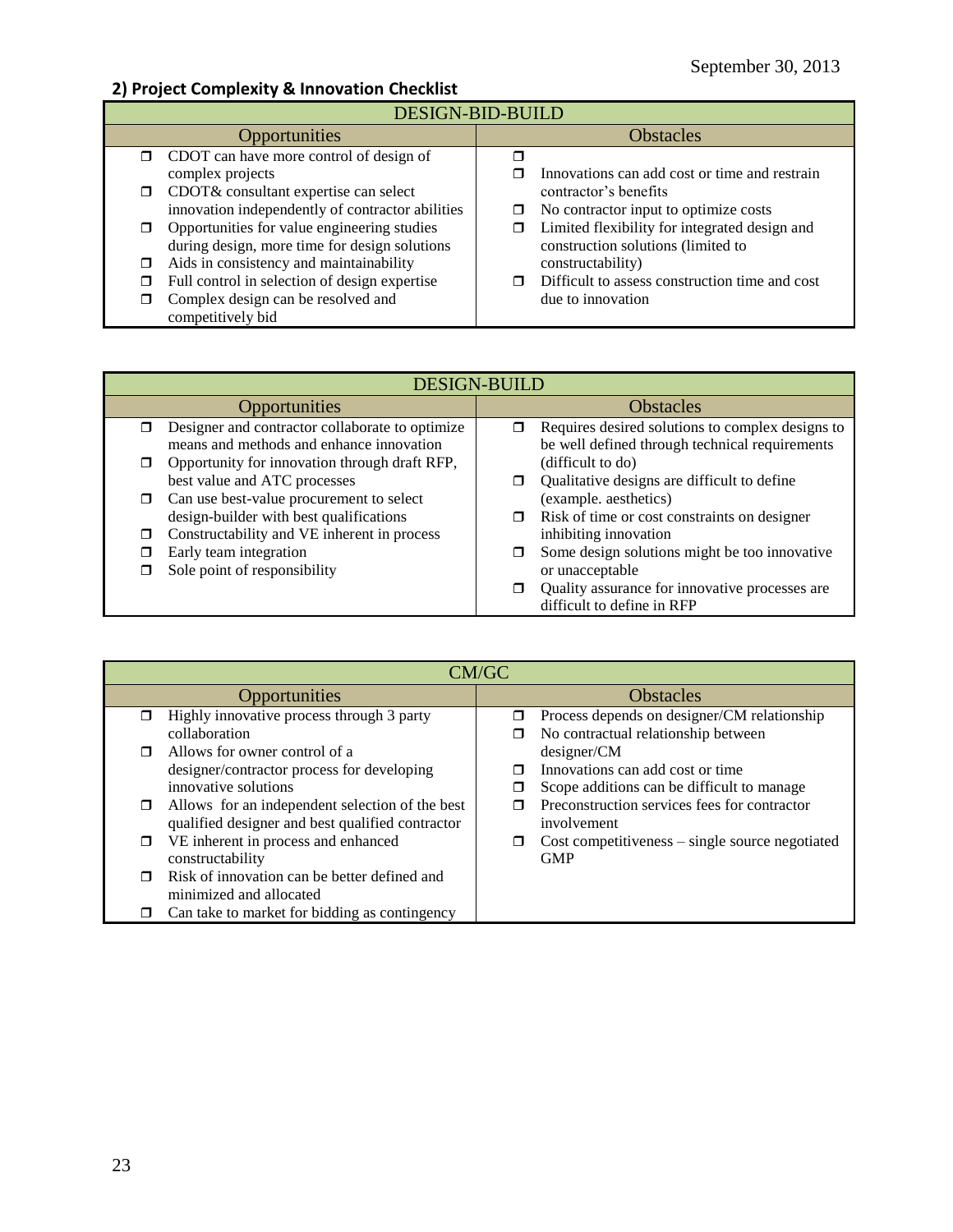## **2) Project Complexity & Innovation Checklist**

| DESIGN-BID-BUILD     |                                                                                              |                  |                                                                                     |
|----------------------|----------------------------------------------------------------------------------------------|------------------|-------------------------------------------------------------------------------------|
| <b>Opportunities</b> |                                                                                              | <b>Obstacles</b> |                                                                                     |
|                      | $\Box$ CDOT can have more control of design of<br>complex projects                           |                  | Innovations can add cost or time and restrain                                       |
| $\Box$               | CDOT& consultant expertise can select<br>innovation independently of contractor abilities    | □                | contractor's benefits<br>No contractor input to optimize costs                      |
|                      | Opportunities for value engineering studies<br>during design, more time for design solutions |                  | Limited flexibility for integrated design and<br>construction solutions (limited to |
| ⊓                    | Aids in consistency and maintainability                                                      |                  | constructability)                                                                   |
|                      | Full control in selection of design expertise                                                |                  | Difficult to assess construction time and cost                                      |
|                      | Complex design can be resolved and<br>competitively bid                                      |                  | due to innovation                                                                   |

| <b>DESIGN-BUILD</b>                                                                         |                                                                                                         |  |
|---------------------------------------------------------------------------------------------|---------------------------------------------------------------------------------------------------------|--|
| <b>Opportunities</b>                                                                        | <b>Obstacles</b>                                                                                        |  |
| Designer and contractor collaborate to optimize<br>means and methods and enhance innovation | Requires desired solutions to complex designs to<br>σ<br>be well defined through technical requirements |  |
| Opportunity for innovation through draft RFP,                                               | (difficult to do)                                                                                       |  |
| best value and ATC processes                                                                | Qualitative designs are difficult to define                                                             |  |
| Can use best-value procurement to select<br>$\Box$                                          | (example. aesthetics)                                                                                   |  |
| design-builder with best qualifications                                                     | Risk of time or cost constraints on designer                                                            |  |
| Constructability and VE inherent in process                                                 | inhibiting innovation                                                                                   |  |
| Early team integration                                                                      | Some design solutions might be too innovative<br>⊓                                                      |  |
| Sole point of responsibility                                                                | or unacceptable                                                                                         |  |
|                                                                                             | Quality assurance for innovative processes are                                                          |  |
|                                                                                             | difficult to define in RFP                                                                              |  |

| CM/GC  |                                                  |                  |                                                     |
|--------|--------------------------------------------------|------------------|-----------------------------------------------------|
|        | Opportunities                                    | <b>Obstacles</b> |                                                     |
| ⊓      | Highly innovative process through 3 party        | □                | Process depends on designer/CM relationship         |
|        | collaboration                                    |                  | No contractual relationship between                 |
| $\Box$ | Allows for owner control of a                    |                  | designer/CM                                         |
|        | designer/contractor process for developing       |                  | Innovations can add cost or time                    |
|        | innovative solutions                             |                  | Scope additions can be difficult to manage          |
| □      | Allows for an independent selection of the best  |                  | Preconstruction services fees for contractor        |
|        | qualified designer and best qualified contractor |                  | involvement                                         |
| □      | VE inherent in process and enhanced              | □                | $Cost$ competitiveness $-$ single source negotiated |
|        | constructability                                 |                  | <b>GMP</b>                                          |
| ⊓      | Risk of innovation can be better defined and     |                  |                                                     |
|        | minimized and allocated                          |                  |                                                     |
| □      | Can take to market for bidding as contingency    |                  |                                                     |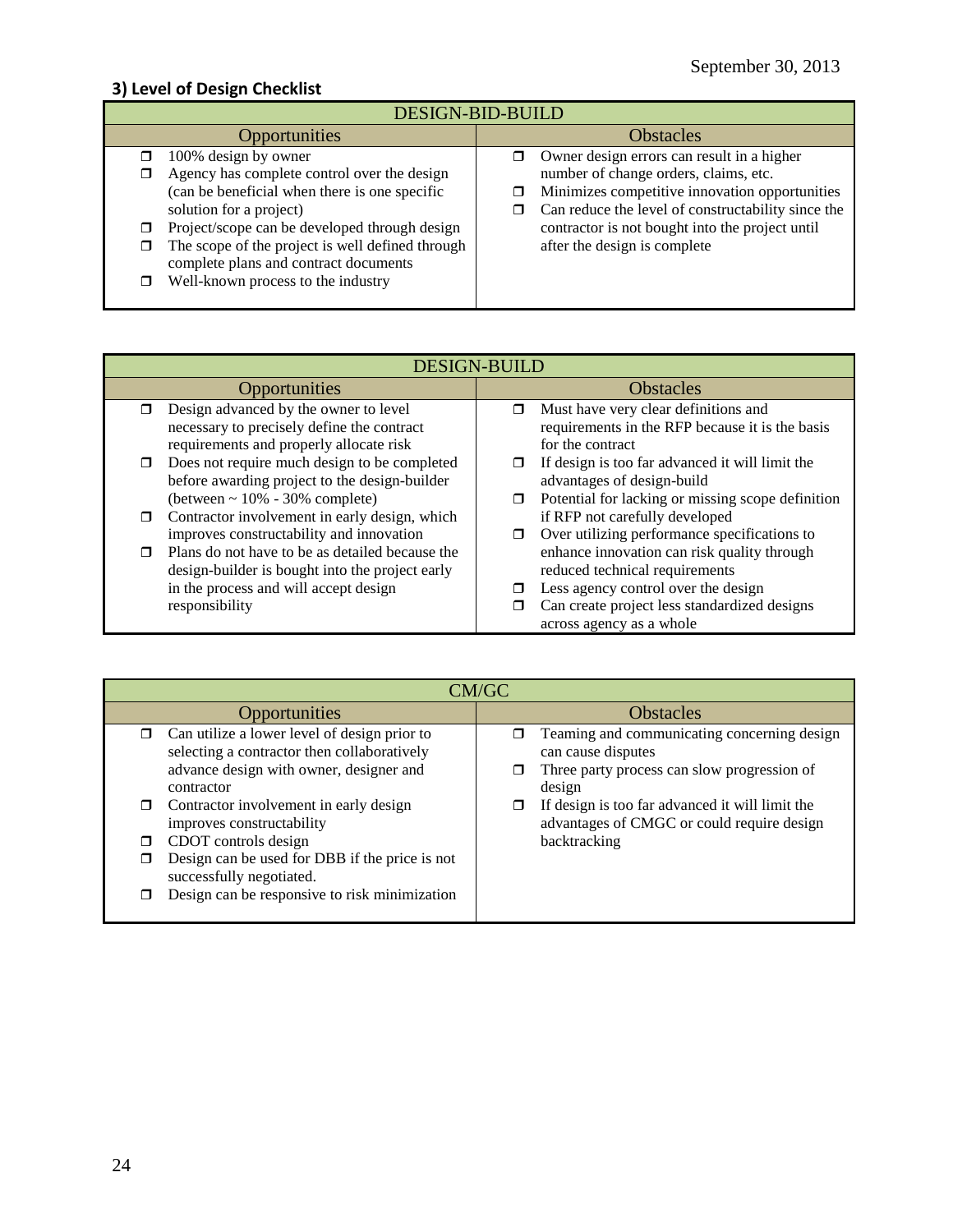## **3) Level of Design Checklist**

| <b>DESIGN-BID-BUILD</b>                                                                                                                                                                                                                                                                                                             |                                                                                                                                                                                                                                                                                |  |  |
|-------------------------------------------------------------------------------------------------------------------------------------------------------------------------------------------------------------------------------------------------------------------------------------------------------------------------------------|--------------------------------------------------------------------------------------------------------------------------------------------------------------------------------------------------------------------------------------------------------------------------------|--|--|
| Opportunities                                                                                                                                                                                                                                                                                                                       | <b>Obstacles</b>                                                                                                                                                                                                                                                               |  |  |
| 100% design by owner<br>Agency has complete control over the design<br>(can be beneficial when there is one specific<br>solution for a project)<br>Project/scope can be developed through design<br>The scope of the project is well defined through<br>complete plans and contract documents<br>Well-known process to the industry | Owner design errors can result in a higher<br>number of change orders, claims, etc.<br>Minimizes competitive innovation opportunities<br>Can reduce the level of constructability since the<br>contractor is not bought into the project until<br>after the design is complete |  |  |

| <b>DESIGN-BUILD</b>                                     |                                                             |  |
|---------------------------------------------------------|-------------------------------------------------------------|--|
| <b>Opportunities</b>                                    | <b>Obstacles</b>                                            |  |
| Design advanced by the owner to level                   | Must have very clear definitions and<br>$\blacksquare$      |  |
| necessary to precisely define the contract              | requirements in the RFP because it is the basis             |  |
| requirements and properly allocate risk                 | for the contract                                            |  |
| Does not require much design to be completed            | If design is too far advanced it will limit the             |  |
| before awarding project to the design-builder           | advantages of design-build                                  |  |
| $(\text{between} \sim 10\% - 30\% \text{ complete})$    | Potential for lacking or missing scope definition<br>$\Box$ |  |
| Contractor involvement in early design, which<br>$\Box$ | if RFP not carefully developed                              |  |
| improves constructability and innovation                | Over utilizing performance specifications to                |  |
| Plans do not have to be as detailed because the         | enhance innovation can risk quality through                 |  |
| design-builder is bought into the project early         | reduced technical requirements                              |  |
| in the process and will accept design                   | Less agency control over the design                         |  |
| responsibility                                          | Can create project less standardized designs                |  |
|                                                         | across agency as a whole                                    |  |

| <b>Opportunities</b><br><b>Obstacles</b>                                                                                                                                                                                                                                                                                                                                                                                                                                                                                                                                                     | CM/GC |                                             |  |
|----------------------------------------------------------------------------------------------------------------------------------------------------------------------------------------------------------------------------------------------------------------------------------------------------------------------------------------------------------------------------------------------------------------------------------------------------------------------------------------------------------------------------------------------------------------------------------------------|-------|---------------------------------------------|--|
|                                                                                                                                                                                                                                                                                                                                                                                                                                                                                                                                                                                              |       |                                             |  |
| Can utilize a lower level of design prior to<br>selecting a contractor then collaboratively<br>can cause disputes<br>advance design with owner, designer and<br>Three party process can slow progression of<br>design<br>contractor<br>Contractor involvement in early design<br>If design is too far advanced it will limit the<br>□<br>advantages of CMGC or could require design<br>improves constructability<br>CDOT controls design<br>backtracking<br>П<br>Design can be used for DBB if the price is not<br>successfully negotiated.<br>Design can be responsive to risk minimization |       | Teaming and communicating concerning design |  |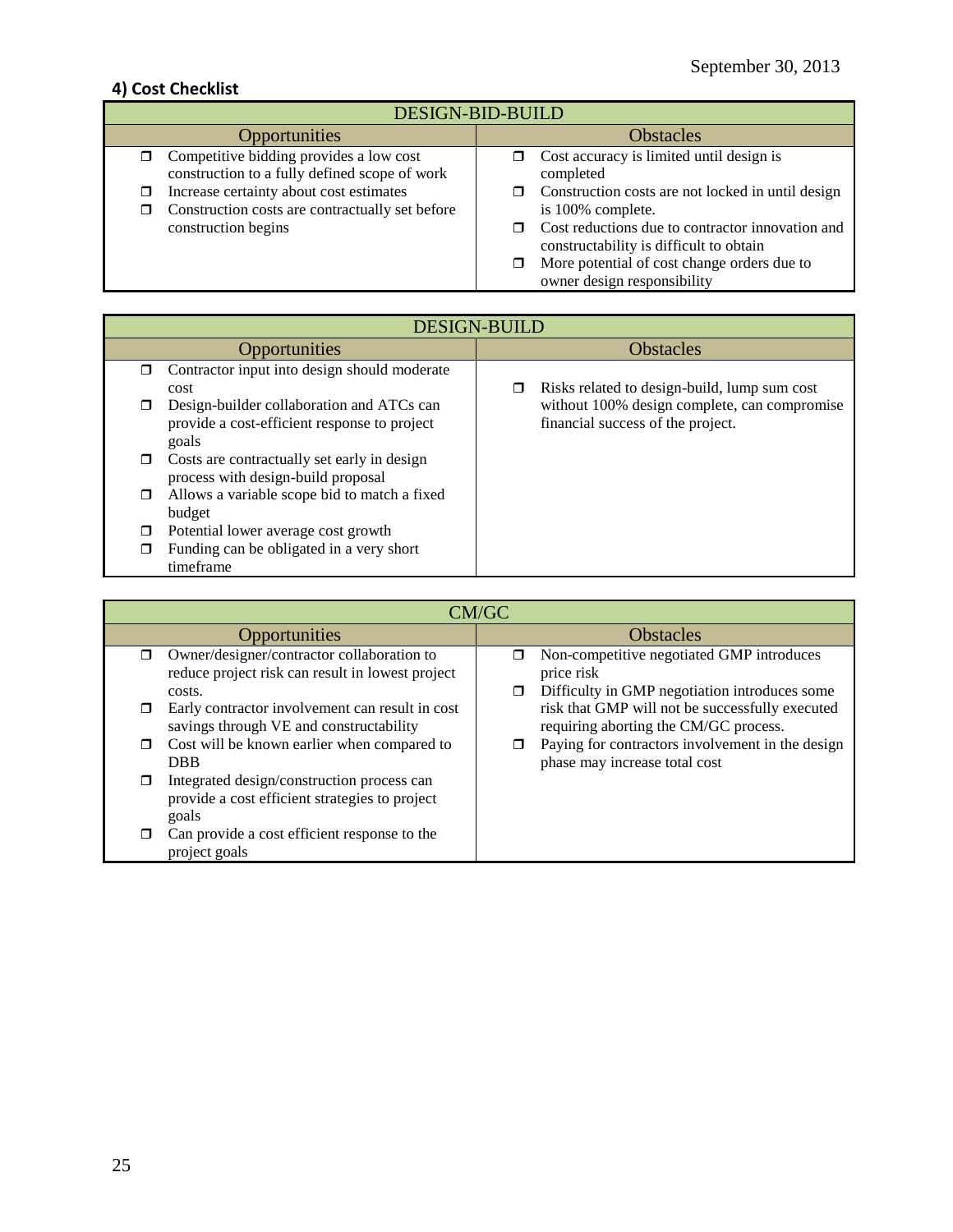## **4) Cost Checklist**

| <b>DESIGN-BID-BUILD</b>                                                                               |                                                                                             |  |
|-------------------------------------------------------------------------------------------------------|---------------------------------------------------------------------------------------------|--|
| Opportunities                                                                                         | <b>Obstacles</b>                                                                            |  |
| Competitive bidding provides a low cost<br>construction to a fully defined scope of work              | Cost accuracy is limited until design is<br>П.<br>completed                                 |  |
| Increase certainty about cost estimates<br>□<br>Construction costs are contractually set before<br>ο. | Construction costs are not locked in until design<br>is 100% complete.                      |  |
| construction begins                                                                                   | Cost reductions due to contractor innovation and<br>constructability is difficult to obtain |  |
|                                                                                                       | More potential of cost change orders due to<br>owner design responsibility                  |  |

|        | <b>DESIGN-BUILD</b>                                                                                |                  |                                                                                   |
|--------|----------------------------------------------------------------------------------------------------|------------------|-----------------------------------------------------------------------------------|
|        | Opportunities                                                                                      | <b>Obstacles</b> |                                                                                   |
| ⊓      | Contractor input into design should moderate<br>cost                                               | □                | Risks related to design-build, lump sum cost                                      |
| П      | Design-builder collaboration and ATCs can<br>provide a cost-efficient response to project<br>goals |                  | without 100% design complete, can compromise<br>financial success of the project. |
| $\Box$ | Costs are contractually set early in design<br>process with design-build proposal                  |                  |                                                                                   |
| π      | Allows a variable scope bid to match a fixed<br>budget                                             |                  |                                                                                   |
| П      | Potential lower average cost growth                                                                |                  |                                                                                   |
| П      | Funding can be obligated in a very short<br>timeframe                                              |                  |                                                                                   |

|        | CM/GC                                                                                                    |                  |                                                                                                          |
|--------|----------------------------------------------------------------------------------------------------------|------------------|----------------------------------------------------------------------------------------------------------|
|        | Opportunities                                                                                            | <b>Obstacles</b> |                                                                                                          |
| ⊓      | Owner/designer/contractor collaboration to<br>reduce project risk can result in lowest project<br>costs. | □<br>□           | Non-competitive negotiated GMP introduces<br>price risk<br>Difficulty in GMP negotiation introduces some |
| $\Box$ | Early contractor involvement can result in cost<br>savings through VE and constructability               |                  | risk that GMP will not be successfully executed<br>requiring aborting the CM/GC process.                 |
| □      | Cost will be known earlier when compared to<br><b>DBB</b>                                                | ◘                | Paying for contractors involvement in the design<br>phase may increase total cost                        |
| ⊓      | Integrated design/construction process can<br>provide a cost efficient strategies to project<br>goals    |                  |                                                                                                          |
| ⊓      | Can provide a cost efficient response to the<br>project goals                                            |                  |                                                                                                          |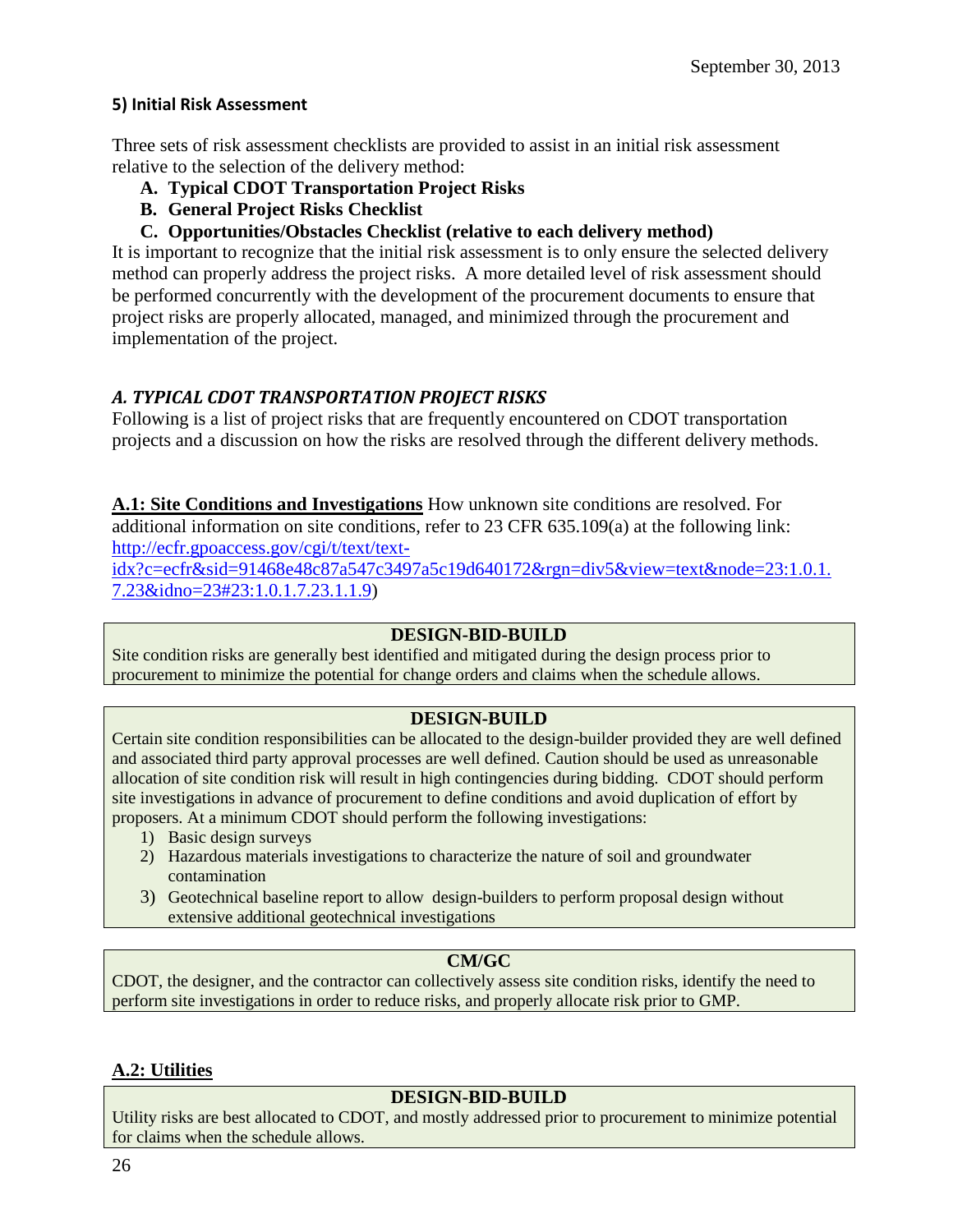### **5) Initial Risk Assessment**

Three sets of risk assessment checklists are provided to assist in an initial risk assessment relative to the selection of the delivery method:

- **A. Typical CDOT Transportation Project Risks**
- **B. General Project Risks Checklist**
- **C. Opportunities/Obstacles Checklist (relative to each delivery method)**

It is important to recognize that the initial risk assessment is to only ensure the selected delivery method can properly address the project risks. A more detailed level of risk assessment should be performed concurrently with the development of the procurement documents to ensure that project risks are properly allocated, managed, and minimized through the procurement and implementation of the project.

## *A. TYPICAL CDOT TRANSPORTATION PROJECT RISKS*

Following is a list of project risks that are frequently encountered on CDOT transportation projects and a discussion on how the risks are resolved through the different delivery methods.

**A.1: Site Conditions and Investigations** How unknown site conditions are resolved. For additional information on site conditions, refer to 23 CFR 635.109(a) at the following link: [http://ecfr.gpoaccess.gov/cgi/t/text/text-](http://ecfr.gpoaccess.gov/cgi/t/text/text-idx?c=ecfr&sid=91468e48c87a547c3497a5c19d640172&rgn=div5&view=text&node=23:1.0.1.7.23&idno=23#23:1.0.1.7.23.1.1.9)

[idx?c=ecfr&sid=91468e48c87a547c3497a5c19d640172&rgn=div5&view=text&node=23:1.0.1.](http://ecfr.gpoaccess.gov/cgi/t/text/text-idx?c=ecfr&sid=91468e48c87a547c3497a5c19d640172&rgn=div5&view=text&node=23:1.0.1.7.23&idno=23#23:1.0.1.7.23.1.1.9) [7.23&idno=23#23:1.0.1.7.23.1.1.9\)](http://ecfr.gpoaccess.gov/cgi/t/text/text-idx?c=ecfr&sid=91468e48c87a547c3497a5c19d640172&rgn=div5&view=text&node=23:1.0.1.7.23&idno=23#23:1.0.1.7.23.1.1.9)

### **DESIGN-BID-BUILD**

Site condition risks are generally best identified and mitigated during the design process prior to procurement to minimize the potential for change orders and claims when the schedule allows.

## **DESIGN-BUILD**

Certain site condition responsibilities can be allocated to the design-builder provided they are well defined and associated third party approval processes are well defined. Caution should be used as unreasonable allocation of site condition risk will result in high contingencies during bidding. CDOT should perform site investigations in advance of procurement to define conditions and avoid duplication of effort by proposers. At a minimum CDOT should perform the following investigations:

- 1) Basic design surveys
- 2) Hazardous materials investigations to characterize the nature of soil and groundwater contamination
- 3) Geotechnical baseline report to allow design-builders to perform proposal design without extensive additional geotechnical investigations

### **CM/GC**

CDOT, the designer, and the contractor can collectively assess site condition risks, identify the need to perform site investigations in order to reduce risks, and properly allocate risk prior to GMP.

### **A.2: Utilities**

### **DESIGN-BID-BUILD**

Utility risks are best allocated to CDOT, and mostly addressed prior to procurement to minimize potential for claims when the schedule allows.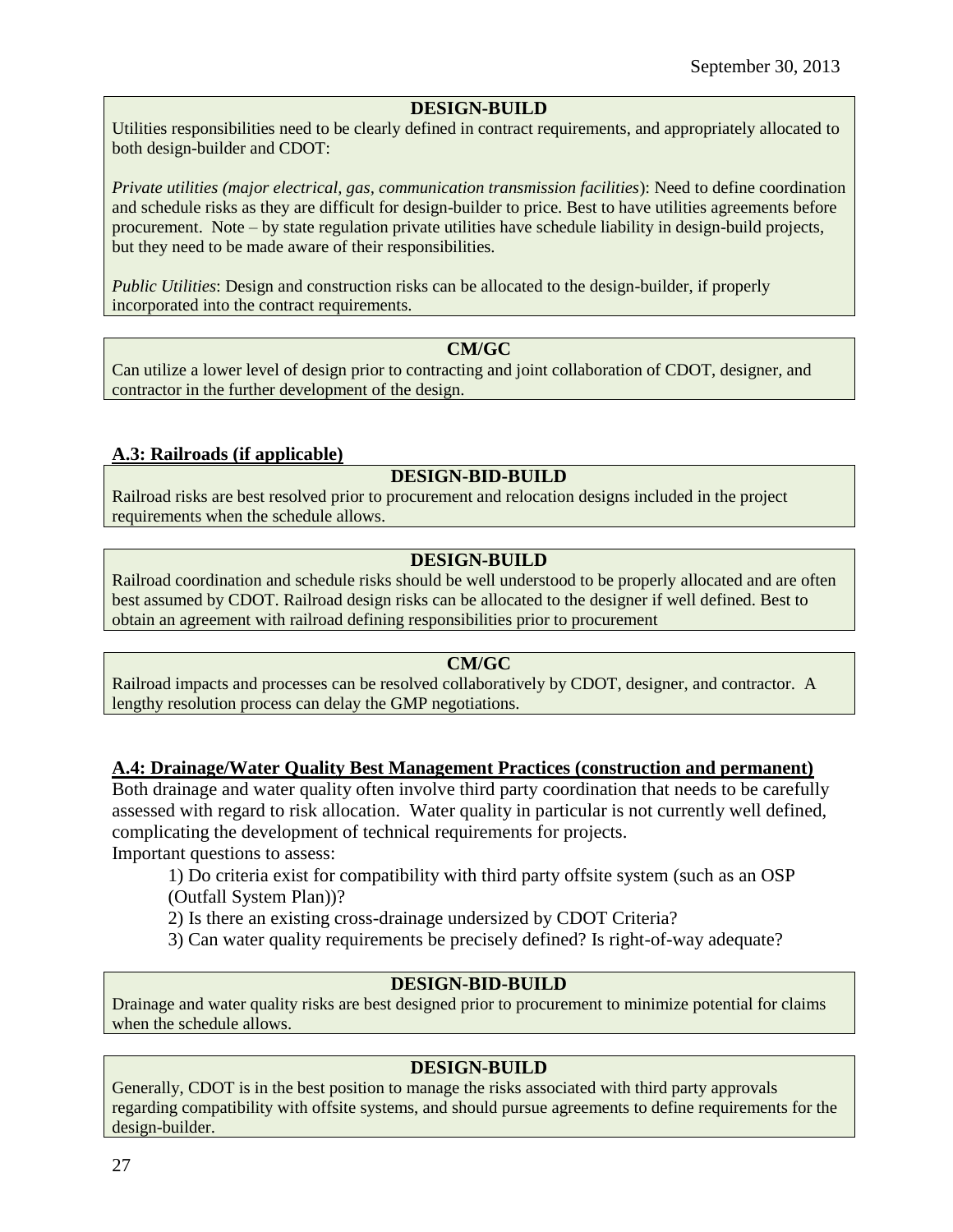#### **DESIGN-BUILD**

Utilities responsibilities need to be clearly defined in contract requirements, and appropriately allocated to both design-builder and CDOT:

*Private utilities (major electrical, gas, communication transmission facilities*): Need to define coordination and schedule risks as they are difficult for design-builder to price. Best to have utilities agreements before procurement. Note – by state regulation private utilities have schedule liability in design-build projects, but they need to be made aware of their responsibilities.

*Public Utilities*: Design and construction risks can be allocated to the design-builder, if properly incorporated into the contract requirements.

#### **CM/GC**

Can utilize a lower level of design prior to contracting and joint collaboration of CDOT, designer, and contractor in the further development of the design.

### **A.3: Railroads (if applicable)**

### **DESIGN-BID-BUILD**

Railroad risks are best resolved prior to procurement and relocation designs included in the project requirements when the schedule allows.

### **DESIGN-BUILD**

Railroad coordination and schedule risks should be well understood to be properly allocated and are often best assumed by CDOT. Railroad design risks can be allocated to the designer if well defined. Best to obtain an agreement with railroad defining responsibilities prior to procurement

#### **CM/GC**

Railroad impacts and processes can be resolved collaboratively by CDOT, designer, and contractor. A lengthy resolution process can delay the GMP negotiations.

#### **A.4: Drainage/Water Quality Best Management Practices (construction and permanent)**

Both drainage and water quality often involve third party coordination that needs to be carefully assessed with regard to risk allocation. Water quality in particular is not currently well defined, complicating the development of technical requirements for projects.

Important questions to assess:

1) Do criteria exist for compatibility with third party offsite system (such as an OSP (Outfall System Plan))?

2) Is there an existing cross-drainage undersized by CDOT Criteria?

3) Can water quality requirements be precisely defined? Is right-of-way adequate?

### **DESIGN-BID-BUILD**

Drainage and water quality risks are best designed prior to procurement to minimize potential for claims when the schedule allows.

### **DESIGN-BUILD**

Generally, CDOT is in the best position to manage the risks associated with third party approvals regarding compatibility with offsite systems, and should pursue agreements to define requirements for the design-builder.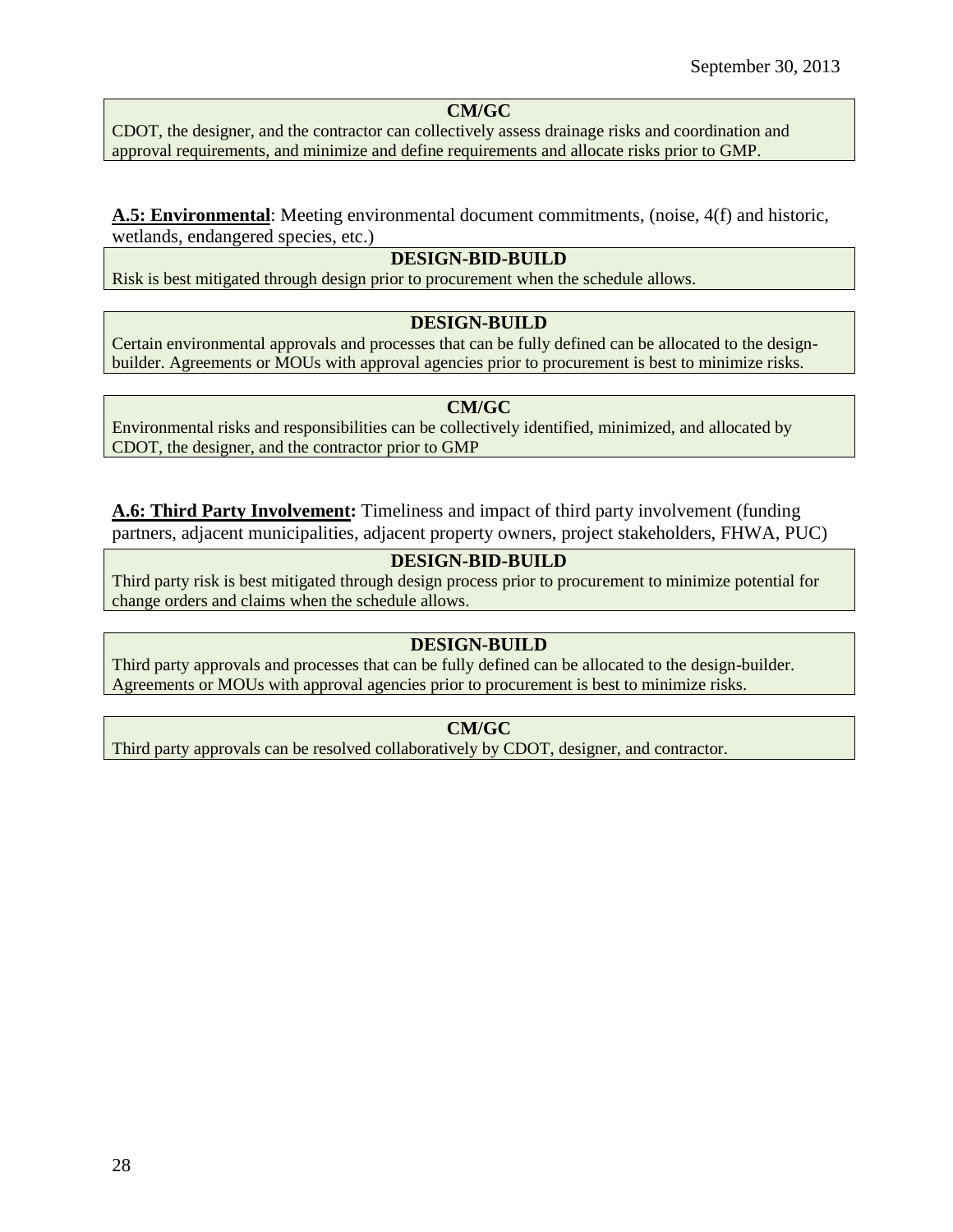## **CM/GC**

CDOT, the designer, and the contractor can collectively assess drainage risks and coordination and approval requirements, and minimize and define requirements and allocate risks prior to GMP.

#### **A.5: Environmental**: Meeting environmental document commitments, (noise, 4(f) and historic, wetlands, endangered species, etc.)

#### **DESIGN-BID-BUILD**

Risk is best mitigated through design prior to procurement when the schedule allows.

#### **DESIGN-BUILD**

Certain environmental approvals and processes that can be fully defined can be allocated to the designbuilder. Agreements or MOUs with approval agencies prior to procurement is best to minimize risks.

#### **CM/GC**

Environmental risks and responsibilities can be collectively identified, minimized, and allocated by CDOT, the designer, and the contractor prior to GMP

**A.6: Third Party Involvement:** Timeliness and impact of third party involvement (funding partners, adjacent municipalities, adjacent property owners, project stakeholders, FHWA, PUC)

#### **DESIGN-BID-BUILD**

Third party risk is best mitigated through design process prior to procurement to minimize potential for change orders and claims when the schedule allows.

#### **DESIGN-BUILD**

Third party approvals and processes that can be fully defined can be allocated to the design-builder. Agreements or MOUs with approval agencies prior to procurement is best to minimize risks.

#### **CM/GC**

Third party approvals can be resolved collaboratively by CDOT, designer, and contractor.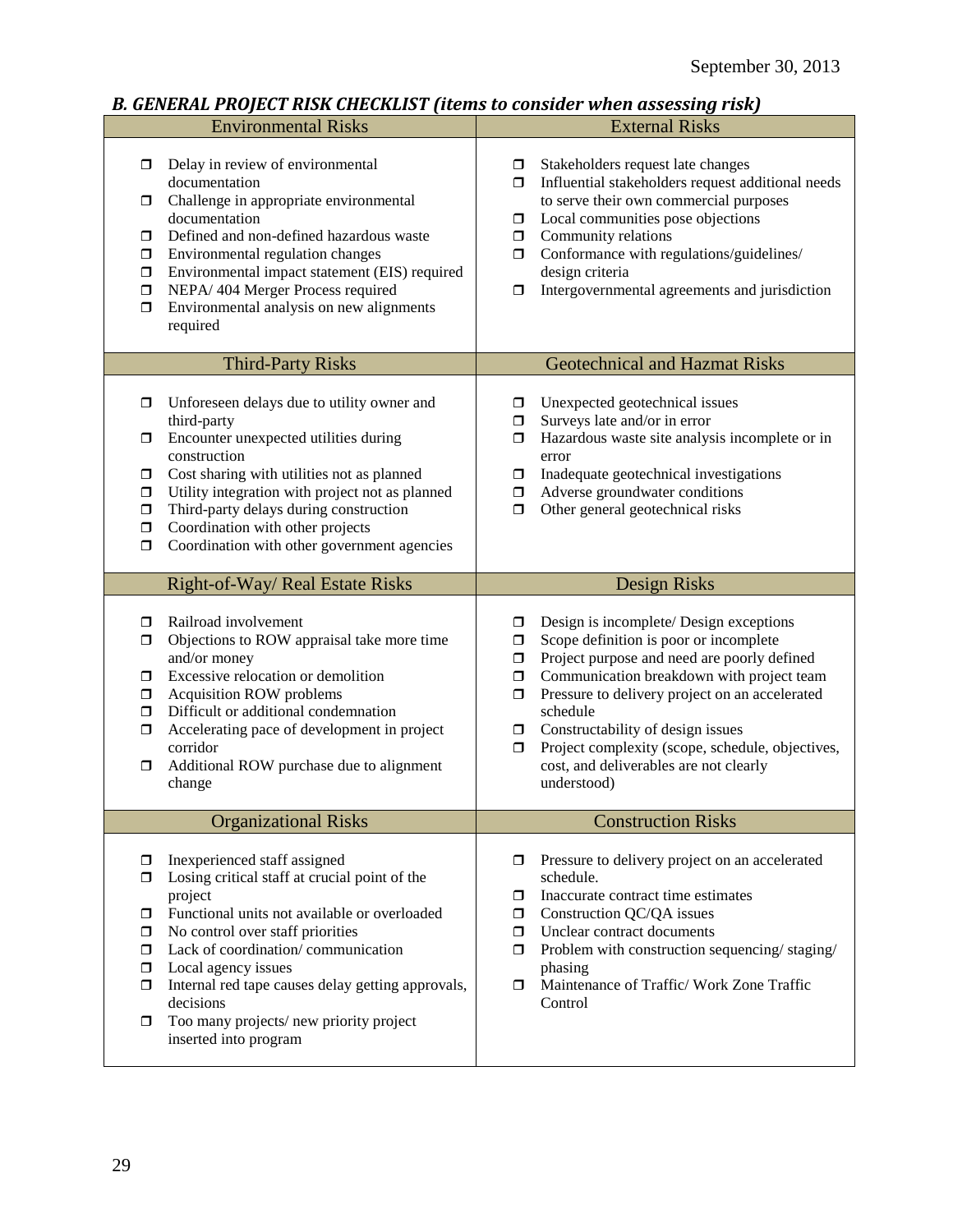## *B. GENERAL PROJECT RISK CHECKLIST (items to consider when assessing risk)*

| <b>Environmental Risks</b>                                                                                                                                                                                                                                                                                                                                                                                                            | <b>External Risks</b>                                                                                                                                                                                                                                                                                                                                                                                                                                      |  |
|---------------------------------------------------------------------------------------------------------------------------------------------------------------------------------------------------------------------------------------------------------------------------------------------------------------------------------------------------------------------------------------------------------------------------------------|------------------------------------------------------------------------------------------------------------------------------------------------------------------------------------------------------------------------------------------------------------------------------------------------------------------------------------------------------------------------------------------------------------------------------------------------------------|--|
| Delay in review of environmental<br>σ<br>documentation<br>Challenge in appropriate environmental<br>◘<br>documentation<br>Defined and non-defined hazardous waste<br>σ<br>Environmental regulation changes<br>σ<br>Environmental impact statement (EIS) required<br>□<br>NEPA/404 Merger Process required<br>$\Box$<br>Environmental analysis on new alignments<br>σ<br>required                                                      | Stakeholders request late changes<br>□<br>Influential stakeholders request additional needs<br>$\Box$<br>to serve their own commercial purposes<br>Local communities pose objections<br>σ<br>Community relations<br>$\Box$<br>Conformance with regulations/guidelines/<br>$\Box$<br>design criteria<br>Intergovernmental agreements and jurisdiction<br>$\Box$                                                                                             |  |
| <b>Third-Party Risks</b>                                                                                                                                                                                                                                                                                                                                                                                                              | <b>Geotechnical and Hazmat Risks</b>                                                                                                                                                                                                                                                                                                                                                                                                                       |  |
| Unforeseen delays due to utility owner and<br>σ<br>third-party<br>Encounter unexpected utilities during<br>◘<br>construction<br>Cost sharing with utilities not as planned<br>$\Box$<br>Utility integration with project not as planned<br>$\Box$<br>Third-party delays during construction<br>$\Box$<br>Coordination with other projects<br>$\Box$<br>Coordination with other government agencies<br>$\Box$                          | Unexpected geotechnical issues<br>□<br>Surveys late and/or in error<br>□<br>Hazardous waste site analysis incomplete or in<br>0<br>error<br>Inadequate geotechnical investigations<br>0<br>Adverse groundwater conditions<br>$\Box$<br>Other general geotechnical risks<br>$\Box$                                                                                                                                                                          |  |
| Right-of-Way/ Real Estate Risks                                                                                                                                                                                                                                                                                                                                                                                                       | Design Risks                                                                                                                                                                                                                                                                                                                                                                                                                                               |  |
| Railroad involvement<br>◘<br>Objections to ROW appraisal take more time<br>$\Box$<br>and/or money<br>Excessive relocation or demolition<br>$\Box$<br>Acquisition ROW problems<br>0<br>Difficult or additional condemnation<br>$\Box$<br>Accelerating pace of development in project<br>$\Box$<br>corridor<br>Additional ROW purchase due to alignment<br>σ<br>change                                                                  | Design is incomplete/ Design exceptions<br>σ<br>Scope definition is poor or incomplete<br>$\Box$<br>Project purpose and need are poorly defined<br>$\Box$<br>Communication breakdown with project team<br>$\Box$<br>Pressure to delivery project on an accelerated<br>$\Box$<br>schedule<br>Constructability of design issues<br>σ.<br>Project complexity (scope, schedule, objectives,<br>$\Box$<br>cost, and deliverables are not clearly<br>understood) |  |
| <b>Organizational Risks</b>                                                                                                                                                                                                                                                                                                                                                                                                           | <b>Construction Risks</b>                                                                                                                                                                                                                                                                                                                                                                                                                                  |  |
| Inexperienced staff assigned<br>◘<br>Losing critical staff at crucial point of the<br>σ<br>project<br>Functional units not available or overloaded<br>0<br>No control over staff priorities<br>σ<br>Lack of coordination/communication<br>$\Box$<br>Local agency issues<br>$\Box$<br>Internal red tape causes delay getting approvals,<br>$\Box$<br>decisions<br>Too many projects/new priority project<br>□<br>inserted into program | Pressure to delivery project on an accelerated<br>schedule.<br>Inaccurate contract time estimates<br>σ<br>Construction QC/QA issues<br>σ.<br>Unclear contract documents<br>$\Box$<br>Problem with construction sequencing/staging/<br>$\Box$<br>phasing<br>Maintenance of Traffic/ Work Zone Traffic<br>Ο.<br>Control                                                                                                                                      |  |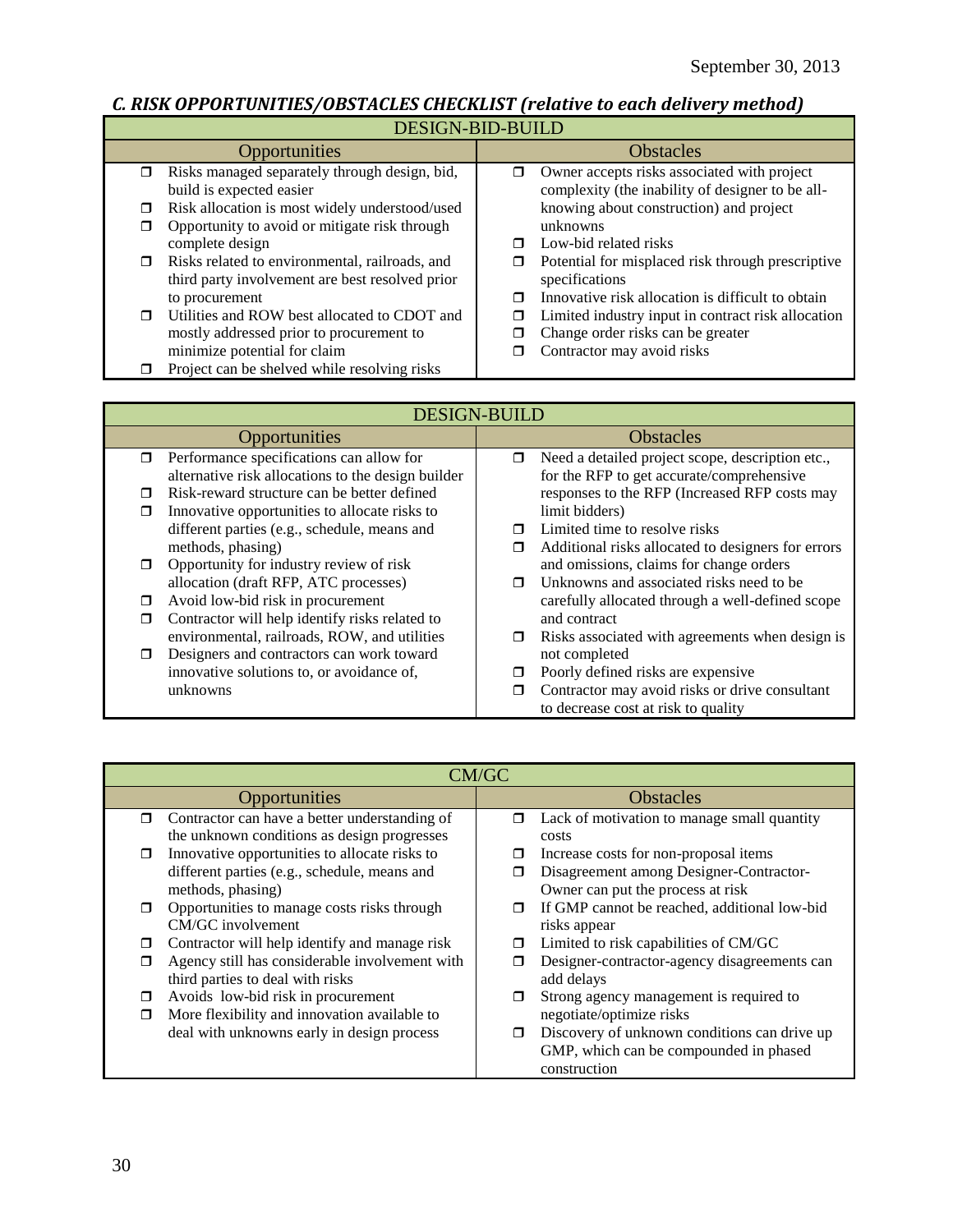# *C. RISK OPPORTUNITIES/OBSTACLES CHECKLIST (relative to each delivery method)*

| DESIGN-BID-BUILD |  |
|------------------|--|
|                  |  |

| DLUIOIT DID DUILD                                        |                                                         |  |
|----------------------------------------------------------|---------------------------------------------------------|--|
| <b>Opportunities</b>                                     | <b>Obstacles</b>                                        |  |
| Risks managed separately through design, bid,<br>π       | Owner accepts risks associated with project<br>σ        |  |
| build is expected easier                                 | complexity (the inability of designer to be all-        |  |
| Risk allocation is most widely understood/used<br>◘      | knowing about construction) and project                 |  |
| Opportunity to avoid or mitigate risk through<br>□       | unknowns                                                |  |
| complete design                                          | Low-bid related risks<br>⊓                              |  |
| Risks related to environmental, railroads, and<br>$\Box$ | Potential for misplaced risk through prescriptive<br>◻  |  |
| third party involvement are best resolved prior          | specifications                                          |  |
| to procurement                                           | Innovative risk allocation is difficult to obtain<br>⊓  |  |
| Utilities and ROW best allocated to CDOT and<br>$\Box$   | Limited industry input in contract risk allocation<br>◻ |  |
| mostly addressed prior to procurement to                 | Change order risks can be greater<br>□                  |  |
| minimize potential for claim                             | Contractor may avoid risks<br>П                         |  |
| Project can be shelved while resolving risks             |                                                         |  |

|        | <b>DESIGN-BUILD</b>                                |        |                                                    |  |
|--------|----------------------------------------------------|--------|----------------------------------------------------|--|
|        | Opportunities                                      |        | <b>Obstacles</b>                                   |  |
| $\Box$ | Performance specifications can allow for           | 0      | Need a detailed project scope, description etc.,   |  |
|        | alternative risk allocations to the design builder |        | for the RFP to get accurate/comprehensive          |  |
|        | Risk-reward structure can be better defined        |        | responses to the RFP (Increased RFP costs may      |  |
|        | Innovative opportunities to allocate risks to      |        | limit bidders)                                     |  |
|        | different parties (e.g., schedule, means and       |        | Limited time to resolve risks                      |  |
|        | methods, phasing)                                  | Ω      | Additional risks allocated to designers for errors |  |
|        | Opportunity for industry review of risk            |        | and omissions, claims for change orders            |  |
|        | allocation (draft RFP, ATC processes)              | $\Box$ | Unknowns and associated risks need to be.          |  |
|        | Avoid low-bid risk in procurement                  |        | carefully allocated through a well-defined scope   |  |
|        | Contractor will help identify risks related to     |        | and contract                                       |  |
|        | environmental, railroads, ROW, and utilities       | $\Box$ | Risks associated with agreements when design is    |  |
| ⊓      | Designers and contractors can work toward          |        | not completed                                      |  |
|        | innovative solutions to, or avoidance of,          |        | Poorly defined risks are expensive                 |  |
|        | unknowns                                           |        | Contractor may avoid risks or drive consultant     |  |
|        |                                                    |        | to decrease cost at risk to quality                |  |

| CM/GC                                                                                                                                           |                                                                                                                                                                                         |  |  |  |
|-------------------------------------------------------------------------------------------------------------------------------------------------|-----------------------------------------------------------------------------------------------------------------------------------------------------------------------------------------|--|--|--|
| Opportunities                                                                                                                                   | <b>Obstacles</b>                                                                                                                                                                        |  |  |  |
| Contractor can have a better understanding of<br>$\Box$<br>the unknown conditions as design progresses                                          | Lack of motivation to manage small quantity<br>□<br>costs                                                                                                                               |  |  |  |
| Innovative opportunities to allocate risks to<br>$\Box$<br>different parties (e.g., schedule, means and<br>methods, phasing)                    | Increase costs for non-proposal items<br>Disagreement among Designer-Contractor-<br>Owner can put the process at risk                                                                   |  |  |  |
| Opportunities to manage costs risks through<br>$\Box$<br>CM/GC involvement                                                                      | If GMP cannot be reached, additional low-bid<br>$\Box$<br>risks appear                                                                                                                  |  |  |  |
| Contractor will help identify and manage risk<br>□<br>Agency still has considerable involvement with<br>π<br>third parties to deal with risks   | Limited to risk capabilities of CM/GC<br>$\Box$<br>Designer-contractor-agency disagreements can<br>add delays                                                                           |  |  |  |
| Avoids low-bid risk in procurement<br>Ω<br>More flexibility and innovation available to<br>$\Box$<br>deal with unknowns early in design process | Strong agency management is required to<br>⊓<br>negotiate/optimize risks<br>Discovery of unknown conditions can drive up<br>□<br>GMP, which can be compounded in phased<br>construction |  |  |  |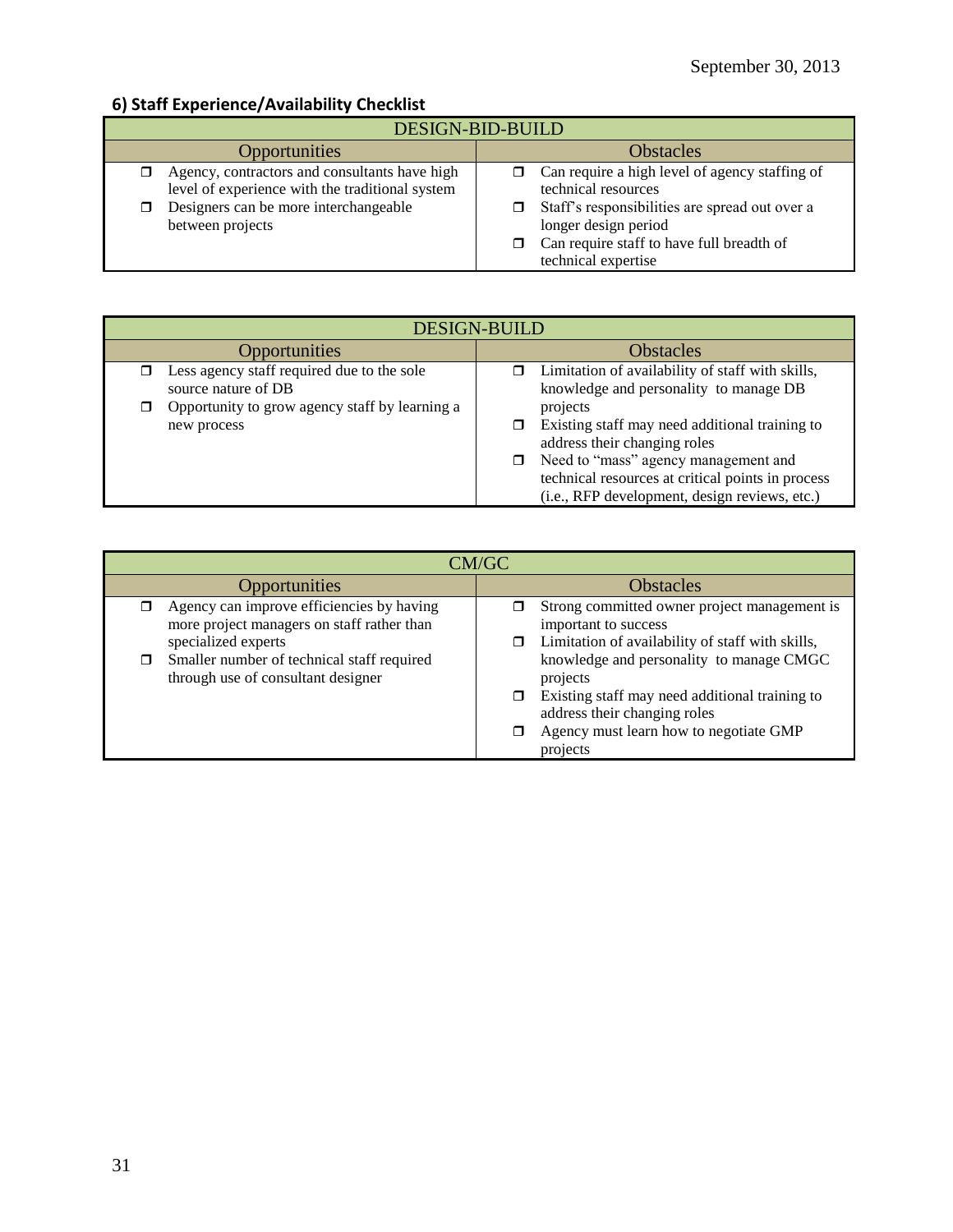## **6) Staff Experience/Availability Checklist**

| DESIGN-BID-BUILD                                                                                                                                              |                                                                                                                                                                                                                     |  |  |
|---------------------------------------------------------------------------------------------------------------------------------------------------------------|---------------------------------------------------------------------------------------------------------------------------------------------------------------------------------------------------------------------|--|--|
| Opportunities                                                                                                                                                 | <b>Obstacles</b>                                                                                                                                                                                                    |  |  |
| Agency, contractors and consultants have high<br>level of experience with the traditional system<br>Designers can be more interchangeable<br>between projects | Can require a high level of agency staffing of<br>technical resources<br>Staff's responsibilities are spread out over a<br>longer design period<br>Can require staff to have full breadth of<br>technical expertise |  |  |

| <b>DESIGN-BUILD</b>                                                                                                 |                                                                                                                                                                                                                                |  |  |
|---------------------------------------------------------------------------------------------------------------------|--------------------------------------------------------------------------------------------------------------------------------------------------------------------------------------------------------------------------------|--|--|
| <b>Opportunities</b>                                                                                                | <b>Obstacles</b>                                                                                                                                                                                                               |  |  |
| Less agency staff required due to the sole<br>source nature of DB<br>Opportunity to grow agency staff by learning a | Limitation of availability of staff with skills,<br>knowledge and personality to manage DB<br>projects                                                                                                                         |  |  |
| new process                                                                                                         | Existing staff may need additional training to<br>address their changing roles<br>□ Need to "mass" agency management and<br>technical resources at critical points in process<br>(i.e., RFP development, design reviews, etc.) |  |  |

| CM/GC                                                                                                          |                                                                                                                                                                                              |  |  |
|----------------------------------------------------------------------------------------------------------------|----------------------------------------------------------------------------------------------------------------------------------------------------------------------------------------------|--|--|
| <b>Opportunities</b>                                                                                           | <b>Obstacles</b>                                                                                                                                                                             |  |  |
| Agency can improve efficiencies by having<br>more project managers on staff rather than<br>specialized experts | Strong committed owner project management is<br>important to success<br>Limitation of availability of staff with skills,                                                                     |  |  |
| Smaller number of technical staff required<br>through use of consultant designer                               | knowledge and personality to manage CMGC<br>projects<br>Existing staff may need additional training to<br>address their changing roles<br>Agency must learn how to negotiate GMP<br>projects |  |  |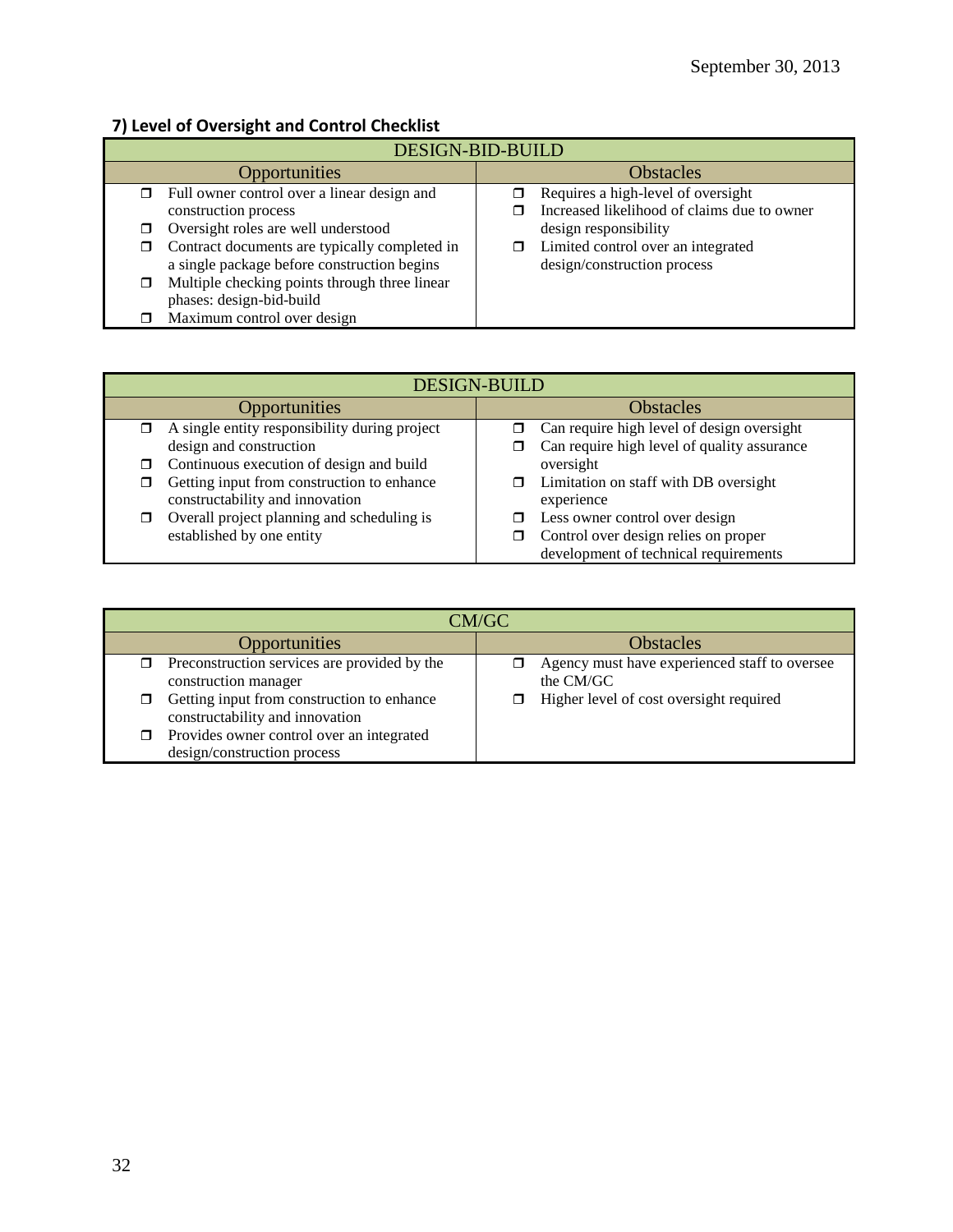# **7) Level of Oversight and Control Checklist**

| DESIGN-BID-BUILD |                                               |                  |                                             |  |
|------------------|-----------------------------------------------|------------------|---------------------------------------------|--|
| Opportunities    |                                               | <b>Obstacles</b> |                                             |  |
| π.               | Full owner control over a linear design and   |                  | Requires a high-level of oversight          |  |
|                  | construction process                          |                  | Increased likelihood of claims due to owner |  |
| □                | Oversight roles are well understood           |                  | design responsibility                       |  |
| □                | Contract documents are typically completed in |                  | Limited control over an integrated          |  |
|                  | a single package before construction begins   |                  | design/construction process                 |  |
|                  | Multiple checking points through three linear |                  |                                             |  |
|                  | phases: design-bid-build                      |                  |                                             |  |
|                  | Maximum control over design                   |                  |                                             |  |

| <b>DESIGN-BUILD</b> |                                                                               |                  |                                                     |
|---------------------|-------------------------------------------------------------------------------|------------------|-----------------------------------------------------|
| Opportunities       |                                                                               | <b>Obstacles</b> |                                                     |
| ο.                  | A single entity responsibility during project                                 | π.               | Can require high level of design oversight          |
|                     | design and construction                                                       |                  | Can require high level of quality assurance         |
| σ.                  | Continuous execution of design and build                                      |                  | oversight                                           |
| ◻                   | Getting input from construction to enhance<br>constructability and innovation |                  | Limitation on staff with DB oversight<br>experience |
| σ                   | Overall project planning and scheduling is                                    |                  | Less owner control over design                      |
|                     | established by one entity                                                     |                  | Control over design relies on proper                |
|                     |                                                                               |                  | development of technical requirements               |

| CM/GC                                                                              |                                                            |  |  |  |
|------------------------------------------------------------------------------------|------------------------------------------------------------|--|--|--|
| Opportunities                                                                      | <b>Obstacles</b>                                           |  |  |  |
| Preconstruction services are provided by the<br>□<br>construction manager          | Agency must have experienced staff to oversee<br>the CM/GC |  |  |  |
| Getting input from construction to enhance<br>◻<br>constructability and innovation | Higher level of cost oversight required                    |  |  |  |
| Provides owner control over an integrated<br>□<br>design/construction process      |                                                            |  |  |  |